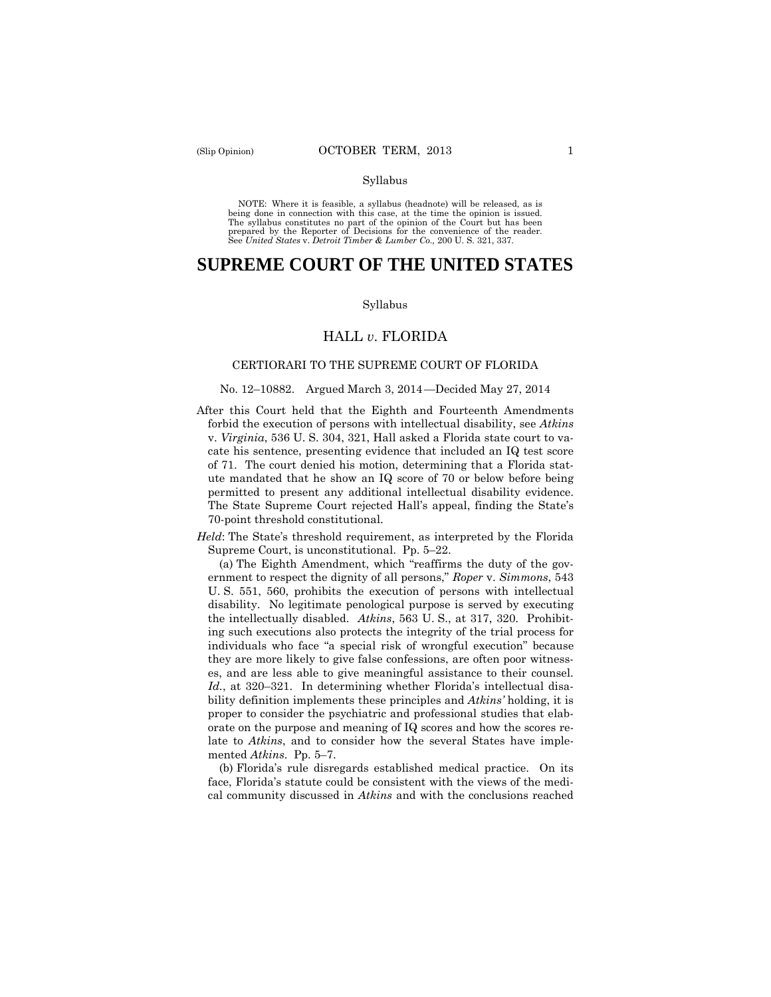#### Syllabus

 NOTE: Where it is feasible, a syllabus (headnote) will be released, as is being done in connection with this case, at the time the opinion is issued. The syllabus constitutes no part of the opinion of the Court but has been<br>prepared by the Reporter of Decisions for the convenience of the reader.<br>See United States v. Detroit Timber & Lumber Co., 200 U. S. 321, 337.

# **SUPREME COURT OF THE UNITED STATES**

#### Syllabus

## HALL *v*. FLORIDA

#### CERTIORARI TO THE SUPREME COURT OF FLORIDA

#### No. 12–10882. Argued March 3, 2014 —Decided May 27, 2014

After this Court held that the Eighth and Fourteenth Amendments forbid the execution of persons with intellectual disability, see *Atkins*  v. *Virginia*, 536 U. S. 304, 321, Hall asked a Florida state court to vacate his sentence, presenting evidence that included an IQ test score of 71. The court denied his motion, determining that a Florida statute mandated that he show an IQ score of 70 or below before being permitted to present any additional intellectual disability evidence. The State Supreme Court rejected Hall's appeal, finding the State's 70-point threshold constitutional.

*Held*: The State's threshold requirement, as interpreted by the Florida Supreme Court, is unconstitutional. Pp. 5–22.

 the intellectually disabled. *Atkins*, 563 U. S., at 317, 320. Prohibit- *Id.*, at 320–321. In determining whether Florida's intellectual disa-(a) The Eighth Amendment, which "reaffirms the duty of the government to respect the dignity of all persons," *Roper* v. *Simmons*, 543 U. S. 551, 560, prohibits the execution of persons with intellectual disability. No legitimate penological purpose is served by executing ing such executions also protects the integrity of the trial process for individuals who face "a special risk of wrongful execution" because they are more likely to give false confessions, are often poor witnesses, and are less able to give meaningful assistance to their counsel. bility definition implements these principles and *Atkins'* holding, it is proper to consider the psychiatric and professional studies that elaborate on the purpose and meaning of IQ scores and how the scores relate to *Atkins*, and to consider how the several States have implemented *Atkins*. Pp. 5–7.

(b) Florida's rule disregards established medical practice. On its face, Florida's statute could be consistent with the views of the medical community discussed in *Atkins* and with the conclusions reached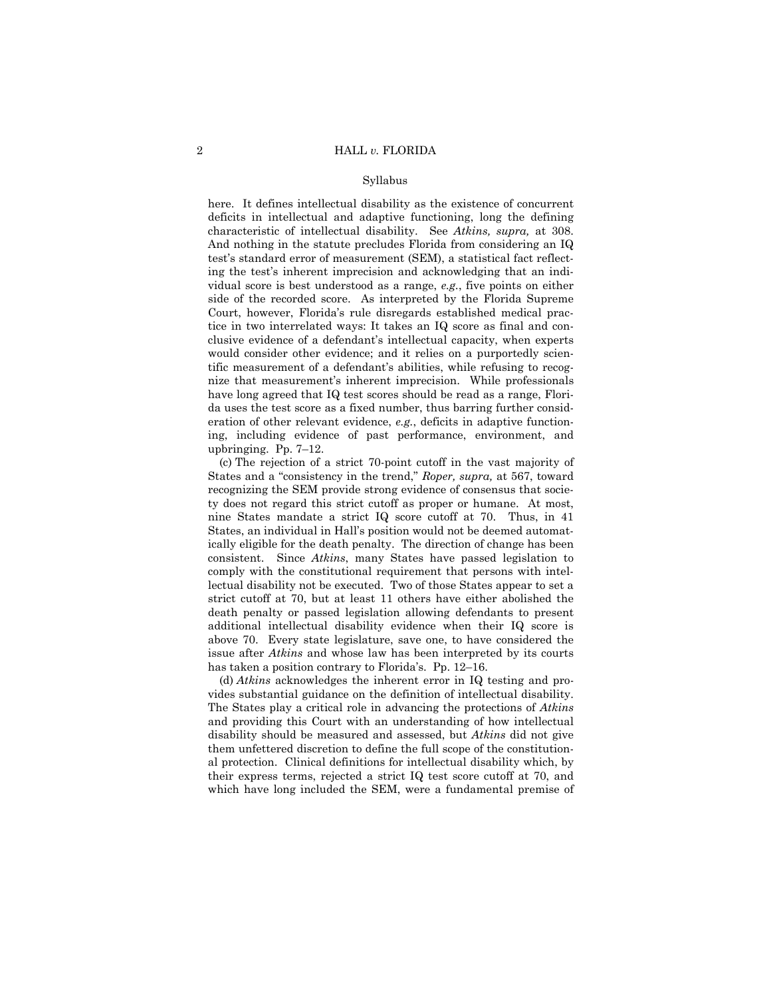#### Syllabus

here. It defines intellectual disability as the existence of concurrent deficits in intellectual and adaptive functioning, long the defining characteristic of intellectual disability. See *Atkins, supra,* at 308. And nothing in the statute precludes Florida from considering an IQ test's standard error of measurement (SEM), a statistical fact reflecting the test's inherent imprecision and acknowledging that an individual score is best understood as a range, *e.g.*, five points on either side of the recorded score. As interpreted by the Florida Supreme Court, however, Florida's rule disregards established medical practice in two interrelated ways: It takes an IQ score as final and conclusive evidence of a defendant's intellectual capacity, when experts would consider other evidence; and it relies on a purportedly scientific measurement of a defendant's abilities, while refusing to recognize that measurement's inherent imprecision. While professionals have long agreed that IQ test scores should be read as a range, Florida uses the test score as a fixed number, thus barring further consideration of other relevant evidence, *e.g.*, deficits in adaptive functioning, including evidence of past performance, environment, and upbringing. Pp. 7–12.

(c) The rejection of a strict 70-point cutoff in the vast majority of States and a "consistency in the trend," *Roper, supra,* at 567, toward recognizing the SEM provide strong evidence of consensus that society does not regard this strict cutoff as proper or humane. At most, nine States mandate a strict IQ score cutoff at 70. Thus, in 41 States, an individual in Hall's position would not be deemed automatically eligible for the death penalty. The direction of change has been consistent. Since *Atkins*, many States have passed legislation to comply with the constitutional requirement that persons with intellectual disability not be executed. Two of those States appear to set a strict cutoff at 70, but at least 11 others have either abolished the death penalty or passed legislation allowing defendants to present additional intellectual disability evidence when their IQ score is above 70. Every state legislature, save one, to have considered the issue after *Atkins* and whose law has been interpreted by its courts has taken a position contrary to Florida's. Pp. 12–16.

(d) *Atkins* acknowledges the inherent error in IQ testing and provides substantial guidance on the definition of intellectual disability. The States play a critical role in advancing the protections of *Atkins*  and providing this Court with an understanding of how intellectual disability should be measured and assessed, but *Atkins* did not give them unfettered discretion to define the full scope of the constitutional protection. Clinical definitions for intellectual disability which, by their express terms, rejected a strict IQ test score cutoff at 70, and which have long included the SEM, were a fundamental premise of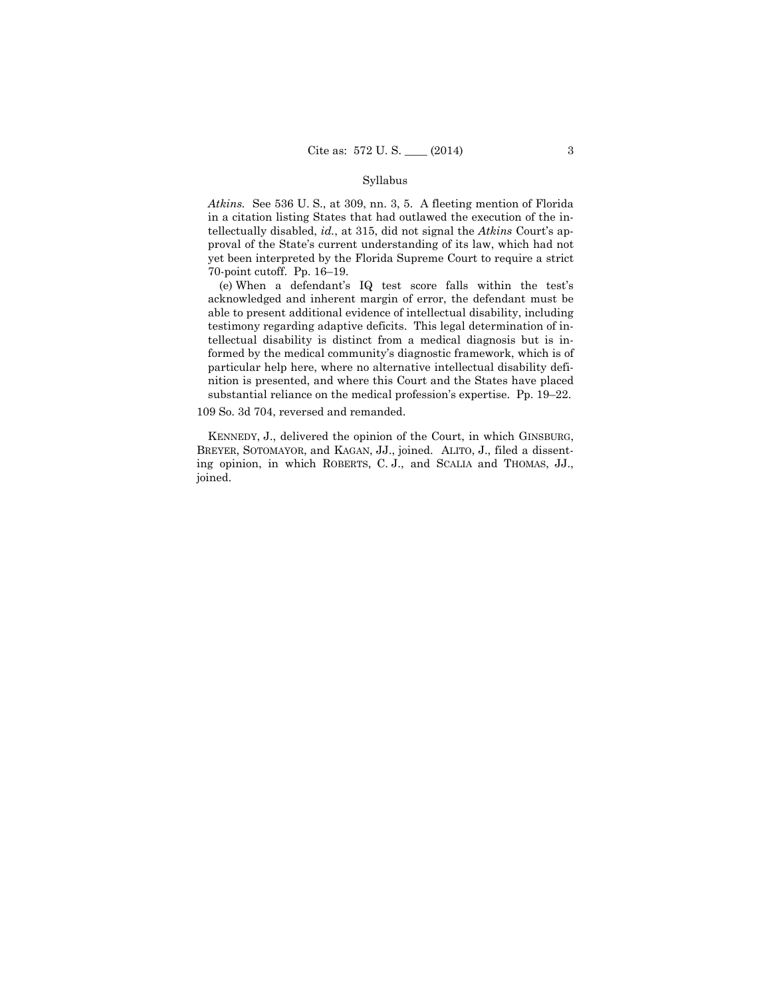#### Syllabus

*Atkins.* See 536 U. S., at 309, nn. 3, 5. A fleeting mention of Florida in a citation listing States that had outlawed the execution of the intellectually disabled, *id.*, at 315, did not signal the *Atkins* Court's approval of the State's current understanding of its law, which had not yet been interpreted by the Florida Supreme Court to require a strict 70-point cutoff. Pp. 16–19.

(e) When a defendant's IQ test score falls within the test's acknowledged and inherent margin of error, the defendant must be able to present additional evidence of intellectual disability, including testimony regarding adaptive deficits. This legal determination of intellectual disability is distinct from a medical diagnosis but is informed by the medical community's diagnostic framework, which is of particular help here, where no alternative intellectual disability definition is presented, and where this Court and the States have placed substantial reliance on the medical profession's expertise. Pp. 19–22.

109 So. 3d 704, reversed and remanded.

 BREYER, SOTOMAYOR, and KAGAN, JJ., joined. ALITO, J., filed a dissent-KENNEDY, J., delivered the opinion of the Court, in which GINSBURG, ing opinion, in which ROBERTS, C. J., and SCALIA and THOMAS, JJ., joined.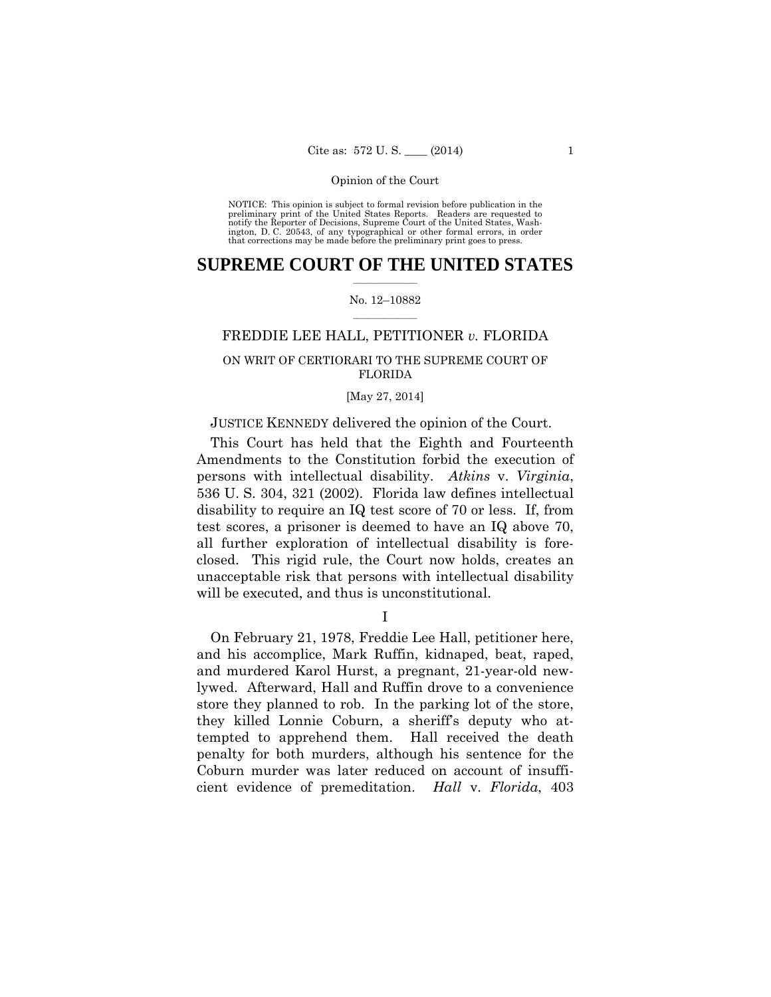preliminary print of the United States Reports. Readers are requested to notify the Reporter of Decisions, Supreme Court of the United States, Wash- ington, D. C. 20543, of any typographical or other formal errors, in order that corrections may be made before the preliminary print goes to press. NOTICE: This opinion is subject to formal revision before publication in the

## $\frac{1}{2}$  ,  $\frac{1}{2}$  ,  $\frac{1}{2}$  ,  $\frac{1}{2}$  ,  $\frac{1}{2}$  ,  $\frac{1}{2}$  ,  $\frac{1}{2}$ **SUPREME COURT OF THE UNITED STATES**

#### $\frac{1}{2}$  ,  $\frac{1}{2}$  ,  $\frac{1}{2}$  ,  $\frac{1}{2}$  ,  $\frac{1}{2}$  ,  $\frac{1}{2}$ No. 12–10882

## FREDDIE LEE HALL, PETITIONER *v.* FLORIDA

## ON WRIT OF CERTIORARI TO THE SUPREME COURT OF FLORIDA

## [May 27, 2014]

## JUSTICE KENNEDY delivered the opinion of the Court.

This Court has held that the Eighth and Fourteenth Amendments to the Constitution forbid the execution of persons with intellectual disability. *Atkins* v. *Virginia*, 536 U. S. 304, 321 (2002). Florida law defines intellectual disability to require an IQ test score of 70 or less. If, from test scores, a prisoner is deemed to have an IQ above 70, all further exploration of intellectual disability is foreclosed. This rigid rule, the Court now holds, creates an unacceptable risk that persons with intellectual disability will be executed, and thus is unconstitutional.

I

On February 21, 1978, Freddie Lee Hall, petitioner here, and his accomplice, Mark Ruffin, kidnaped, beat, raped, and murdered Karol Hurst, a pregnant, 21-year-old newlywed. Afterward, Hall and Ruffin drove to a convenience store they planned to rob. In the parking lot of the store, they killed Lonnie Coburn, a sheriff's deputy who attempted to apprehend them. Hall received the death penalty for both murders, although his sentence for the Coburn murder was later reduced on account of insufficient evidence of premeditation. *Hall* v. *Florida*, 403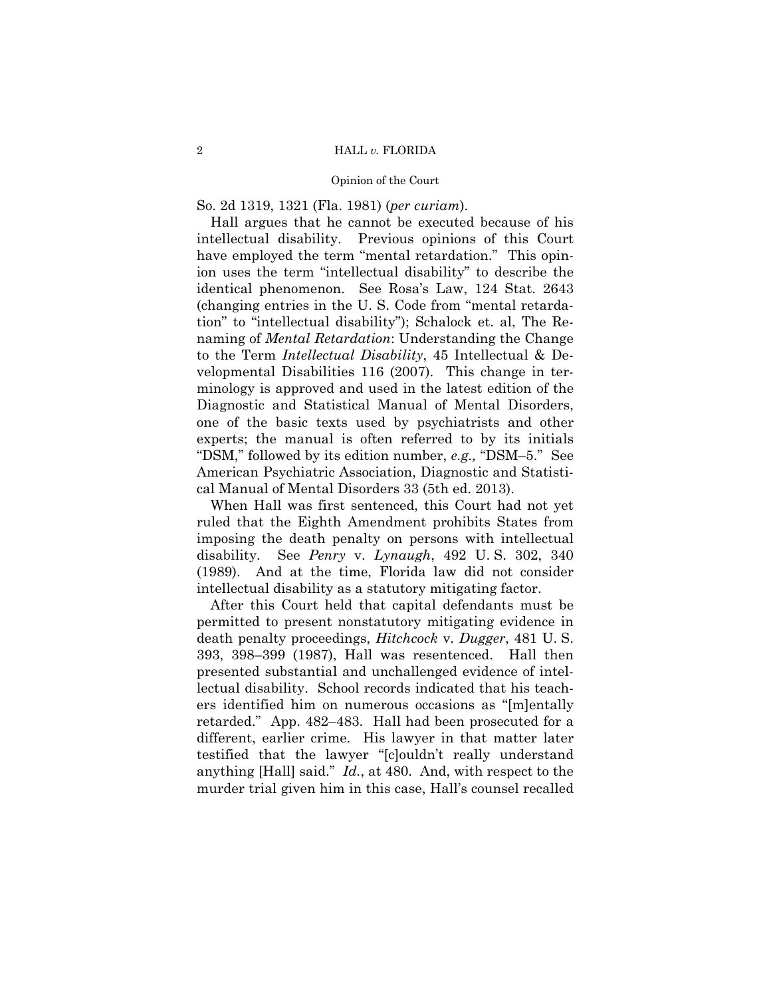So. 2d 1319, 1321 (Fla. 1981) (*per curiam*).

Hall argues that he cannot be executed because of his intellectual disability. Previous opinions of this Court have employed the term "mental retardation." This opinion uses the term "intellectual disability" to describe the identical phenomenon. See Rosa's Law, 124 Stat. 2643 (changing entries in the U. S. Code from "mental retardation" to "intellectual disability"); Schalock et. al, The Renaming of *Mental Retardation*: Understanding the Change to the Term *Intellectual Disability*, 45 Intellectual & Developmental Disabilities 116 (2007). This change in terminology is approved and used in the latest edition of the Diagnostic and Statistical Manual of Mental Disorders, one of the basic texts used by psychiatrists and other experts; the manual is often referred to by its initials "DSM," followed by its edition number, *e.g.,* "DSM–5." See American Psychiatric Association, Diagnostic and Statistical Manual of Mental Disorders 33 (5th ed. 2013).

When Hall was first sentenced, this Court had not yet ruled that the Eighth Amendment prohibits States from imposing the death penalty on persons with intellectual disability. See *Penry* v. *Lynaugh*, 492 U. S. 302, 340 (1989). And at the time, Florida law did not consider intellectual disability as a statutory mitigating factor.

After this Court held that capital defendants must be permitted to present nonstatutory mitigating evidence in death penalty proceedings, *Hitchcock* v. *Dugger*, 481 U. S. 393, 398–399 (1987), Hall was resentenced. Hall then presented substantial and unchallenged evidence of intellectual disability. School records indicated that his teachers identified him on numerous occasions as "[m]entally retarded." App. 482–483. Hall had been prosecuted for a different, earlier crime. His lawyer in that matter later testified that the lawyer "[c]ouldn't really understand anything [Hall] said." *Id.*, at 480. And, with respect to the murder trial given him in this case, Hall's counsel recalled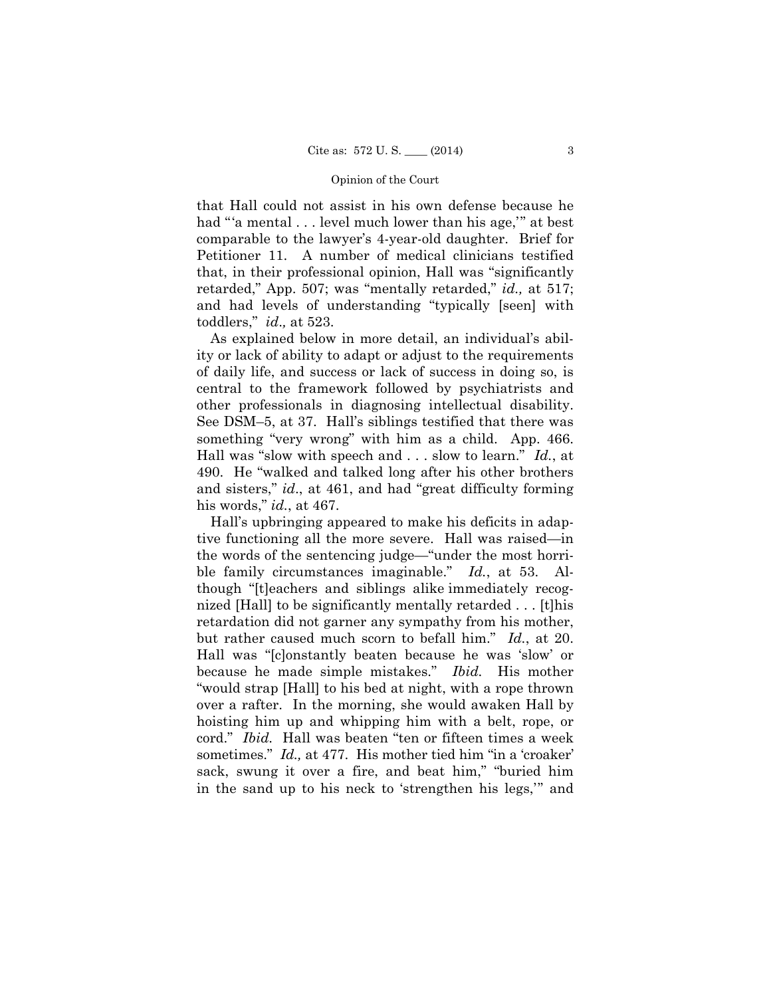that Hall could not assist in his own defense because he had "'a mental . . . level much lower than his age," at best comparable to the lawyer's 4-year-old daughter. Brief for Petitioner 11. A number of medical clinicians testified that, in their professional opinion, Hall was "significantly retarded," App. 507; was "mentally retarded," *id.,* at 517; and had levels of understanding "typically [seen] with toddlers," *id*.*,* at 523.

As explained below in more detail, an individual's ability or lack of ability to adapt or adjust to the requirements of daily life, and success or lack of success in doing so, is central to the framework followed by psychiatrists and other professionals in diagnosing intellectual disability. See DSM–5, at 37. Hall's siblings testified that there was something "very wrong" with him as a child. App. 466. Hall was "slow with speech and . . . slow to learn." *Id.*, at 490. He "walked and talked long after his other brothers and sisters," *id*., at 461, and had "great difficulty forming his words," *id.*, at 467.

Hall's upbringing appeared to make his deficits in adaptive functioning all the more severe. Hall was raised—in the words of the sentencing judge—"under the most horrible family circumstances imaginable." *Id.*, at 53. Although "[t]eachers and siblings alike immediately recognized [Hall] to be significantly mentally retarded . . . [t]his retardation did not garner any sympathy from his mother, but rather caused much scorn to befall him." *Id.*, at 20. Hall was "[c]onstantly beaten because he was 'slow' or because he made simple mistakes." *Ibid.* His mother "would strap [Hall] to his bed at night, with a rope thrown over a rafter. In the morning, she would awaken Hall by hoisting him up and whipping him with a belt, rope, or cord." *Ibid.* Hall was beaten "ten or fifteen times a week sometimes." *Id.*, at 477. His mother tied him "in a 'croaker' sack, swung it over a fire, and beat him," "buried him in the sand up to his neck to 'strengthen his legs,'" and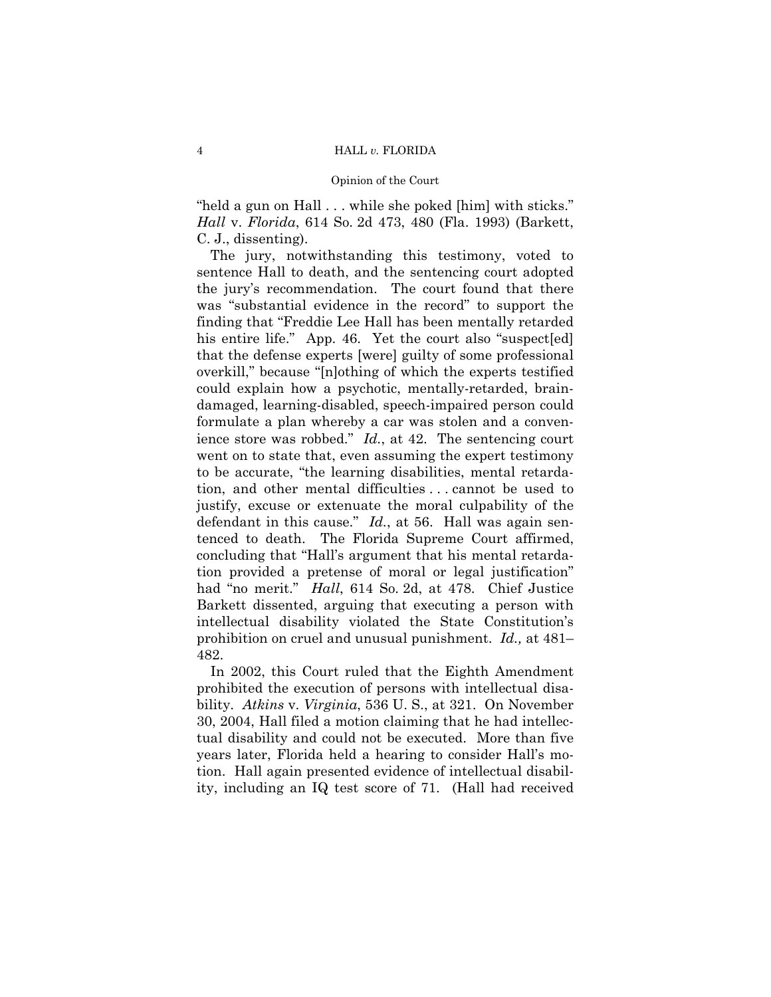"held a gun on Hall . . . while she poked [him] with sticks." *Hall* v. *Florida*, 614 So. 2d 473, 480 (Fla. 1993) (Barkett, C. J., dissenting).

The jury, notwithstanding this testimony, voted to sentence Hall to death, and the sentencing court adopted the jury's recommendation. The court found that there was "substantial evidence in the record" to support the finding that "Freddie Lee Hall has been mentally retarded his entire life." App. 46. Yet the court also "suspect[ed] that the defense experts [were] guilty of some professional overkill," because "[n]othing of which the experts testified could explain how a psychotic, mentally-retarded, braindamaged, learning-disabled, speech-impaired person could formulate a plan whereby a car was stolen and a convenience store was robbed." *Id.*, at 42. The sentencing court went on to state that, even assuming the expert testimony to be accurate, "the learning disabilities, mental retardation, and other mental difficulties . . . cannot be used to justify, excuse or extenuate the moral culpability of the defendant in this cause." *Id.*, at 56. Hall was again sentenced to death. The Florida Supreme Court affirmed, concluding that "Hall's argument that his mental retardation provided a pretense of moral or legal justification" had "no merit." *Hall*, 614 So. 2d, at 478. Chief Justice Barkett dissented, arguing that executing a person with intellectual disability violated the State Constitution's prohibition on cruel and unusual punishment. *Id.,* at 481– 482.

In 2002, this Court ruled that the Eighth Amendment prohibited the execution of persons with intellectual disability. *Atkins* v. *Virginia*, 536 U. S., at 321. On November 30, 2004, Hall filed a motion claiming that he had intellectual disability and could not be executed. More than five years later, Florida held a hearing to consider Hall's motion. Hall again presented evidence of intellectual disability, including an IQ test score of 71. (Hall had received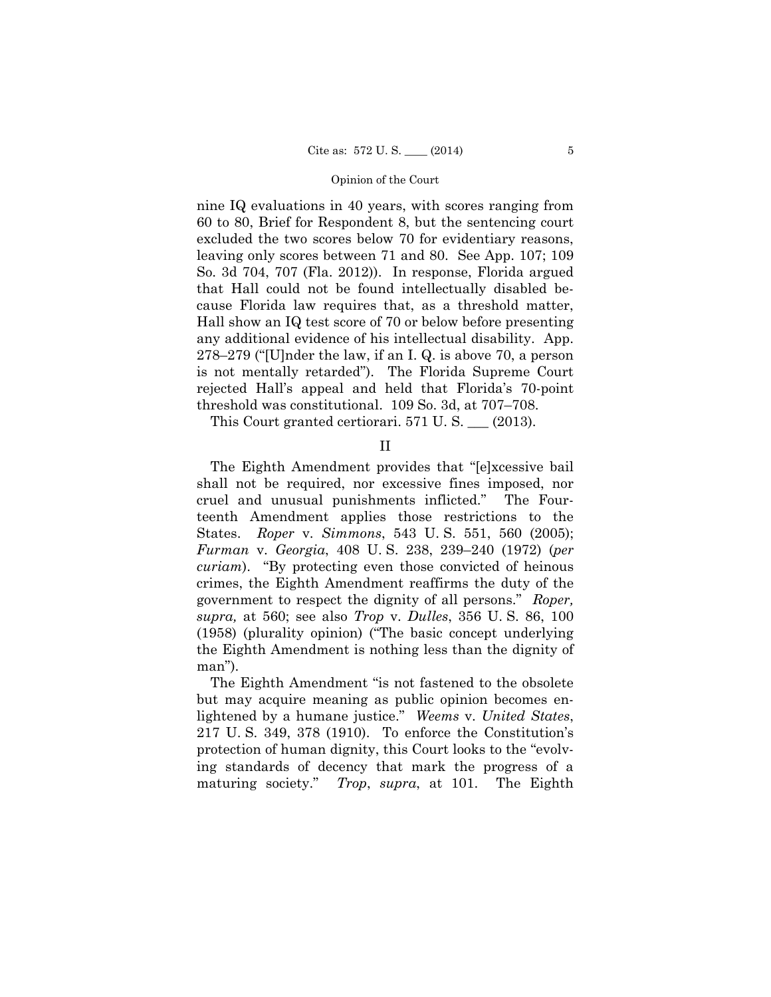nine IQ evaluations in 40 years, with scores ranging from 60 to 80, Brief for Respondent 8, but the sentencing court excluded the two scores below 70 for evidentiary reasons, leaving only scores between 71 and 80. See App. 107; 109 So. 3d 704, 707 (Fla. 2012)). In response, Florida argued that Hall could not be found intellectually disabled because Florida law requires that, as a threshold matter, Hall show an IQ test score of 70 or below before presenting any additional evidence of his intellectual disability. App. 278–279 ("[U]nder the law, if an I. Q. is above 70, a person is not mentally retarded"). The Florida Supreme Court rejected Hall's appeal and held that Florida's 70-point threshold was constitutional. 109 So. 3d, at 707–708.

This Court granted certiorari. 571 U. S. \_\_\_ (2013).

II

The Eighth Amendment provides that "[e]xcessive bail shall not be required, nor excessive fines imposed, nor cruel and unusual punishments inflicted." The Fourteenth Amendment applies those restrictions to the States. *Roper* v. *Simmons*, 543 U. S. 551, 560 (2005); *Furman* v. *Georgia*, 408 U. S. 238, 239–240 (1972) (*per curiam*). "By protecting even those convicted of heinous crimes, the Eighth Amendment reaffirms the duty of the government to respect the dignity of all persons." *Roper, supra,* at 560; see also *Trop* v. *Dulles*, 356 U. S. 86, 100 (1958) (plurality opinion) ("The basic concept underlying the Eighth Amendment is nothing less than the dignity of man").

The Eighth Amendment "is not fastened to the obsolete but may acquire meaning as public opinion becomes enlightened by a humane justice." *Weems* v. *United States*, 217 U. S. 349, 378 (1910). To enforce the Constitution's protection of human dignity, this Court looks to the "evolving standards of decency that mark the progress of a maturing society." *Trop*, *supra*, at 101. The Eighth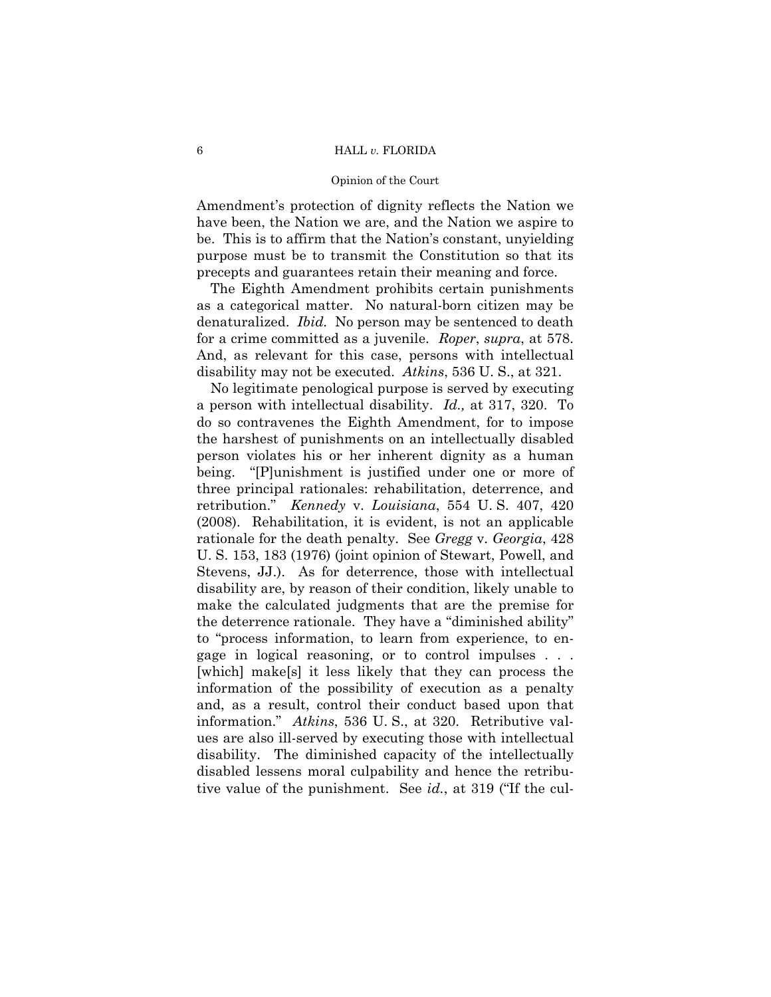#### 6 HALL *v.* FLORIDA

#### Opinion of the Court

Amendment's protection of dignity reflects the Nation we have been, the Nation we are, and the Nation we aspire to be. This is to affirm that the Nation's constant, unyielding purpose must be to transmit the Constitution so that its precepts and guarantees retain their meaning and force.

The Eighth Amendment prohibits certain punishments as a categorical matter. No natural-born citizen may be denaturalized. *Ibid.* No person may be sentenced to death for a crime committed as a juvenile. *Roper*, *supra*, at 578. And, as relevant for this case, persons with intellectual disability may not be executed. *Atkins*, 536 U. S., at 321.

 No legitimate penological purpose is served by executing a person with intellectual disability. *Id.,* at 317, 320. To do so contravenes the Eighth Amendment, for to impose the harshest of punishments on an intellectually disabled person violates his or her inherent dignity as a human being. "[P]unishment is justified under one or more of three principal rationales: rehabilitation, deterrence, and retribution." *Kennedy* v. *Louisiana*, 554 U. S. 407, 420 (2008). Rehabilitation, it is evident, is not an applicable rationale for the death penalty. See *Gregg* v. *Georgia*, 428 U. S. 153, 183 (1976) (joint opinion of Stewart, Powell, and Stevens, JJ.). As for deterrence, those with intellectual disability are, by reason of their condition, likely unable to make the calculated judgments that are the premise for the deterrence rationale. They have a "diminished ability" to "process information, to learn from experience, to engage in logical reasoning, or to control impulses . . . [which] make[s] it less likely that they can process the information of the possibility of execution as a penalty and, as a result, control their conduct based upon that information." *Atkins*, 536 U. S., at 320. Retributive values are also ill-served by executing those with intellectual disability. The diminished capacity of the intellectually disabled lessens moral culpability and hence the retributive value of the punishment. See *id.*, at 319 ("If the cul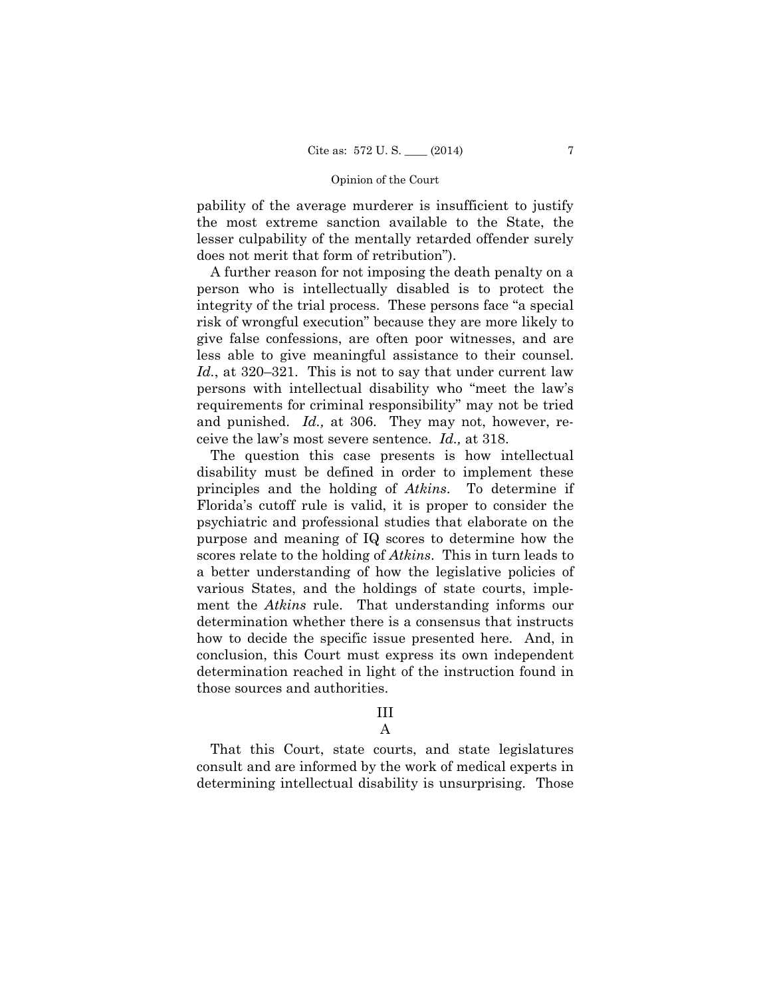pability of the average murderer is insufficient to justify the most extreme sanction available to the State, the lesser culpability of the mentally retarded offender surely does not merit that form of retribution").

A further reason for not imposing the death penalty on a person who is intellectually disabled is to protect the integrity of the trial process. These persons face "a special risk of wrongful execution" because they are more likely to give false confessions, are often poor witnesses, and are less able to give meaningful assistance to their counsel. *Id.*, at 320–321. This is not to say that under current law persons with intellectual disability who "meet the law's requirements for criminal responsibility" may not be tried and punished. *Id.,* at 306. They may not, however, receive the law's most severe sentence. *Id.,* at 318.

The question this case presents is how intellectual disability must be defined in order to implement these principles and the holding of *Atkins*. To determine if Florida's cutoff rule is valid, it is proper to consider the psychiatric and professional studies that elaborate on the purpose and meaning of IQ scores to determine how the scores relate to the holding of *Atkins*. This in turn leads to a better understanding of how the legislative policies of various States, and the holdings of state courts, implement the *Atkins* rule. That understanding informs our determination whether there is a consensus that instructs how to decide the specific issue presented here. And, in conclusion, this Court must express its own independent determination reached in light of the instruction found in those sources and authorities.

# III

A

That this Court, state courts, and state legislatures consult and are informed by the work of medical experts in determining intellectual disability is unsurprising. Those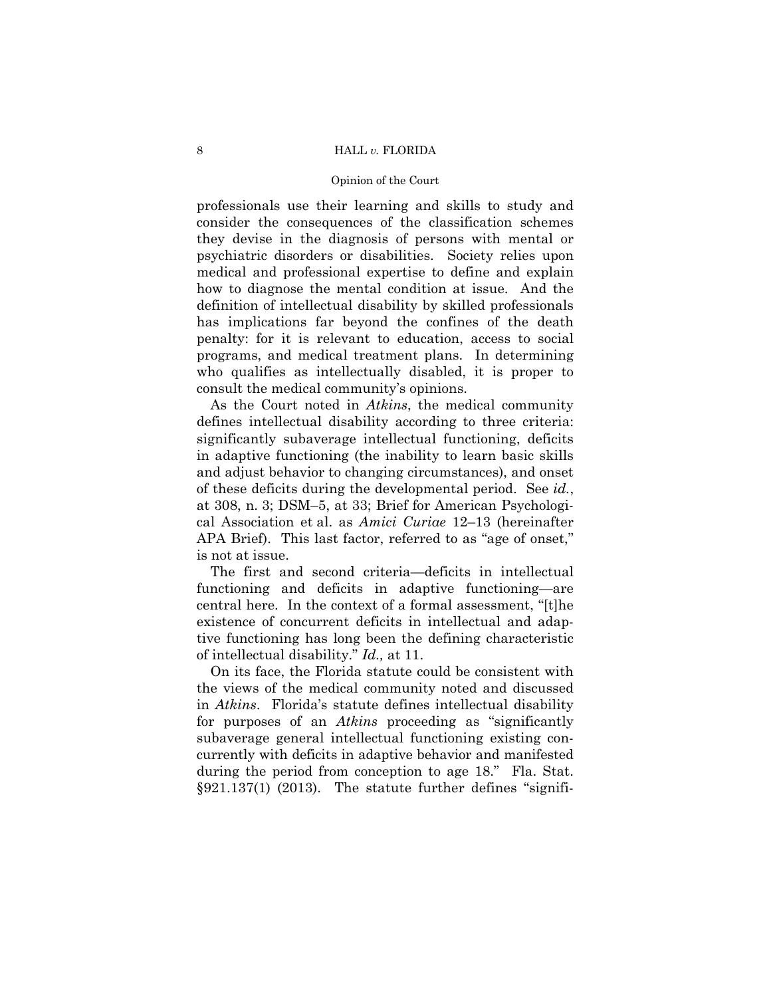#### 8 HALL *v.* FLORIDA

#### Opinion of the Court

professionals use their learning and skills to study and consider the consequences of the classification schemes they devise in the diagnosis of persons with mental or psychiatric disorders or disabilities. Society relies upon medical and professional expertise to define and explain how to diagnose the mental condition at issue. And the definition of intellectual disability by skilled professionals has implications far beyond the confines of the death penalty: for it is relevant to education, access to social programs, and medical treatment plans. In determining who qualifies as intellectually disabled, it is proper to consult the medical community's opinions.

As the Court noted in *Atkins*, the medical community defines intellectual disability according to three criteria: significantly subaverage intellectual functioning, deficits in adaptive functioning (the inability to learn basic skills and adjust behavior to changing circumstances), and onset of these deficits during the developmental period. See *id.*, at 308, n. 3; DSM–5, at 33; Brief for American Psychological Association et al. as *Amici Curiae* 12–13 (hereinafter APA Brief). This last factor, referred to as "age of onset," is not at issue.

The first and second criteria—deficits in intellectual functioning and deficits in adaptive functioning—are central here. In the context of a formal assessment, "[t]he existence of concurrent deficits in intellectual and adaptive functioning has long been the defining characteristic of intellectual disability." *Id.,* at 11.

On its face, the Florida statute could be consistent with the views of the medical community noted and discussed in *Atkins*. Florida's statute defines intellectual disability for purposes of an *Atkins* proceeding as "significantly subaverage general intellectual functioning existing concurrently with deficits in adaptive behavior and manifested during the period from conception to age 18." Fla. Stat. §921.137(1) (2013). The statute further defines "signifi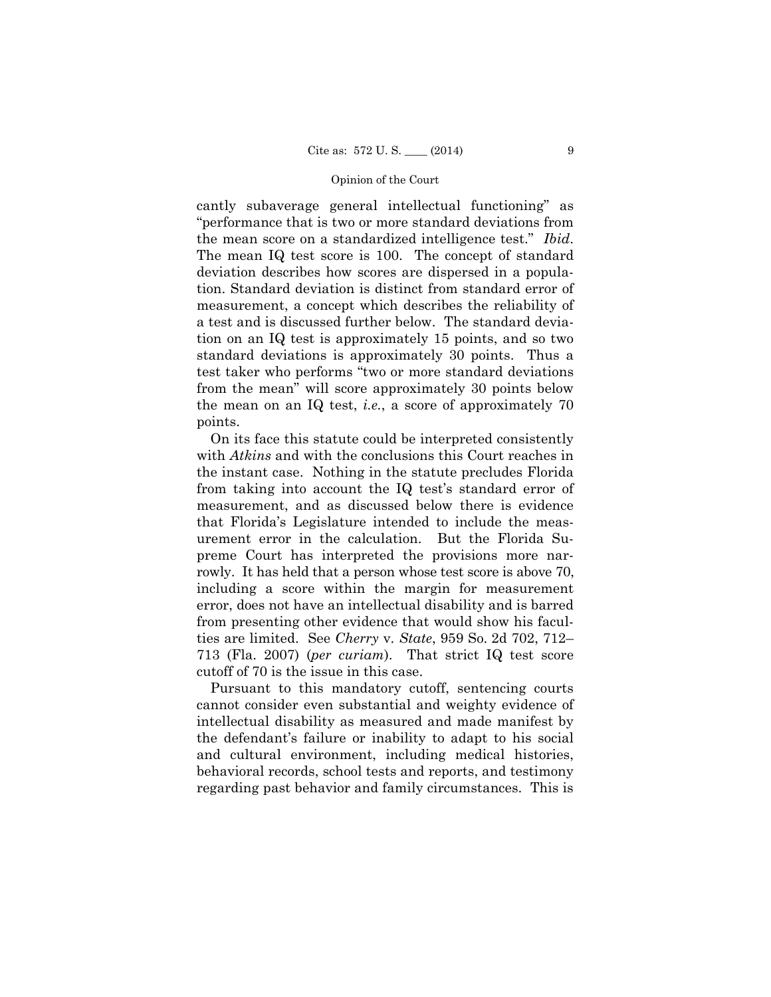cantly subaverage general intellectual functioning" as "performance that is two or more standard deviations from the mean score on a standardized intelligence test." *Ibid*. The mean IQ test score is 100. The concept of standard deviation describes how scores are dispersed in a population. Standard deviation is distinct from standard error of measurement, a concept which describes the reliability of a test and is discussed further below. The standard deviation on an IQ test is approximately 15 points, and so two standard deviations is approximately 30 points. Thus a test taker who performs "two or more standard deviations from the mean" will score approximately 30 points below the mean on an IQ test, *i.e.*, a score of approximately 70 points.

On its face this statute could be interpreted consistently with *Atkins* and with the conclusions this Court reaches in the instant case. Nothing in the statute precludes Florida from taking into account the IQ test's standard error of measurement, and as discussed below there is evidence that Florida's Legislature intended to include the measurement error in the calculation. But the Florida Supreme Court has interpreted the provisions more narrowly. It has held that a person whose test score is above 70, including a score within the margin for measurement error, does not have an intellectual disability and is barred from presenting other evidence that would show his faculties are limited. See *Cherry* v. *State*, 959 So. 2d 702, 712– 713 (Fla. 2007) (*per curiam*). That strict IQ test score cutoff of 70 is the issue in this case.

Pursuant to this mandatory cutoff, sentencing courts cannot consider even substantial and weighty evidence of intellectual disability as measured and made manifest by the defendant's failure or inability to adapt to his social and cultural environment, including medical histories, behavioral records, school tests and reports, and testimony regarding past behavior and family circumstances. This is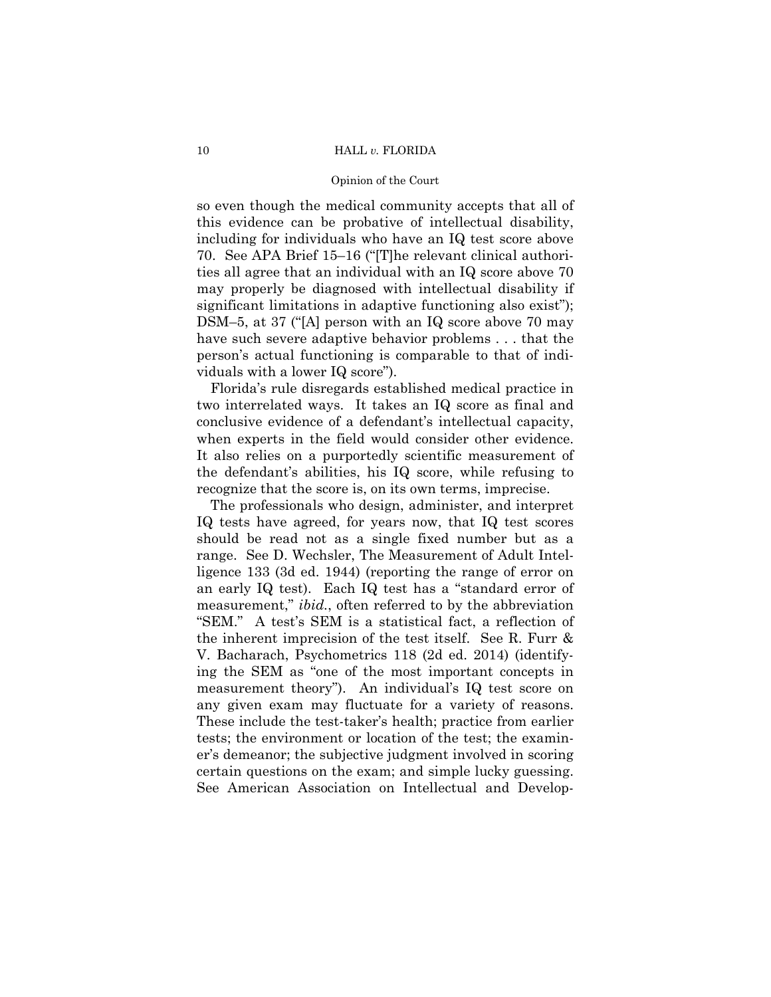#### 10 HALL *v.* FLORIDA

#### Opinion of the Court

so even though the medical community accepts that all of this evidence can be probative of intellectual disability, including for individuals who have an IQ test score above 70. See APA Brief 15–16 ("[T]he relevant clinical authorities all agree that an individual with an IQ score above 70 may properly be diagnosed with intellectual disability if significant limitations in adaptive functioning also exist"); DSM–5, at 37 ("[A] person with an IQ score above 70 may have such severe adaptive behavior problems . . . that the person's actual functioning is comparable to that of individuals with a lower IQ score").

Florida's rule disregards established medical practice in two interrelated ways. It takes an IQ score as final and conclusive evidence of a defendant's intellectual capacity, when experts in the field would consider other evidence. It also relies on a purportedly scientific measurement of the defendant's abilities, his IQ score, while refusing to recognize that the score is, on its own terms, imprecise.

The professionals who design, administer, and interpret IQ tests have agreed, for years now, that IQ test scores should be read not as a single fixed number but as a range. See D. Wechsler, The Measurement of Adult Intelligence 133 (3d ed. 1944) (reporting the range of error on an early IQ test). Each IQ test has a "standard error of measurement," *ibid.*, often referred to by the abbreviation "SEM." A test's SEM is a statistical fact, a reflection of the inherent imprecision of the test itself. See R. Furr & V. Bacharach, Psychometrics 118 (2d ed. 2014) (identifying the SEM as "one of the most important concepts in measurement theory"). An individual's IQ test score on any given exam may fluctuate for a variety of reasons. These include the test-taker's health; practice from earlier tests; the environment or location of the test; the examiner's demeanor; the subjective judgment involved in scoring certain questions on the exam; and simple lucky guessing. See American Association on Intellectual and Develop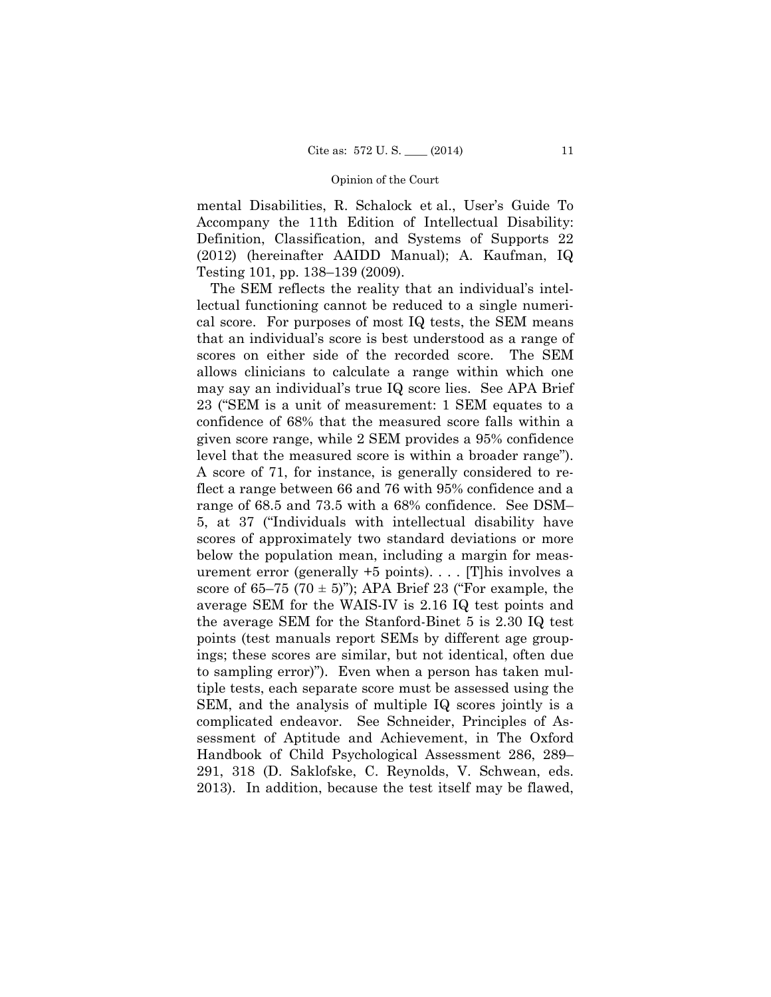mental Disabilities, R. Schalock et al., User's Guide To Accompany the 11th Edition of Intellectual Disability: Definition, Classification, and Systems of Supports 22 (2012) (hereinafter AAIDD Manual); A. Kaufman, IQ Testing 101, pp. 138–139 (2009).

 level that the measured score is within a broader range"). SEM, and the analysis of multiple IQ scores jointly is a The SEM reflects the reality that an individual's intellectual functioning cannot be reduced to a single numerical score. For purposes of most IQ tests, the SEM means that an individual's score is best understood as a range of scores on either side of the recorded score. The SEM allows clinicians to calculate a range within which one may say an individual's true IQ score lies. See APA Brief 23 ("SEM is a unit of measurement: 1 SEM equates to a confidence of 68% that the measured score falls within a given score range, while 2 SEM provides a 95% confidence A score of 71, for instance, is generally considered to reflect a range between 66 and 76 with 95% confidence and a range of 68.5 and 73.5 with a 68% confidence. See DSM– 5, at 37 ("Individuals with intellectual disability have scores of approximately two standard deviations or more below the population mean, including a margin for measurement error (generally +5 points). . . . [T]his involves a score of 65–75 (70  $\pm$  5)"); APA Brief 23 ("For example, the average SEM for the WAIS-IV is 2.16 IQ test points and the average SEM for the Stanford-Binet 5 is 2.30 IQ test points (test manuals report SEMs by different age groupings; these scores are similar, but not identical, often due to sampling error)"). Even when a person has taken multiple tests, each separate score must be assessed using the complicated endeavor. See Schneider, Principles of Assessment of Aptitude and Achievement, in The Oxford Handbook of Child Psychological Assessment 286, 289– 291, 318 (D. Saklofske, C. Reynolds, V. Schwean, eds. 2013). In addition, because the test itself may be flawed,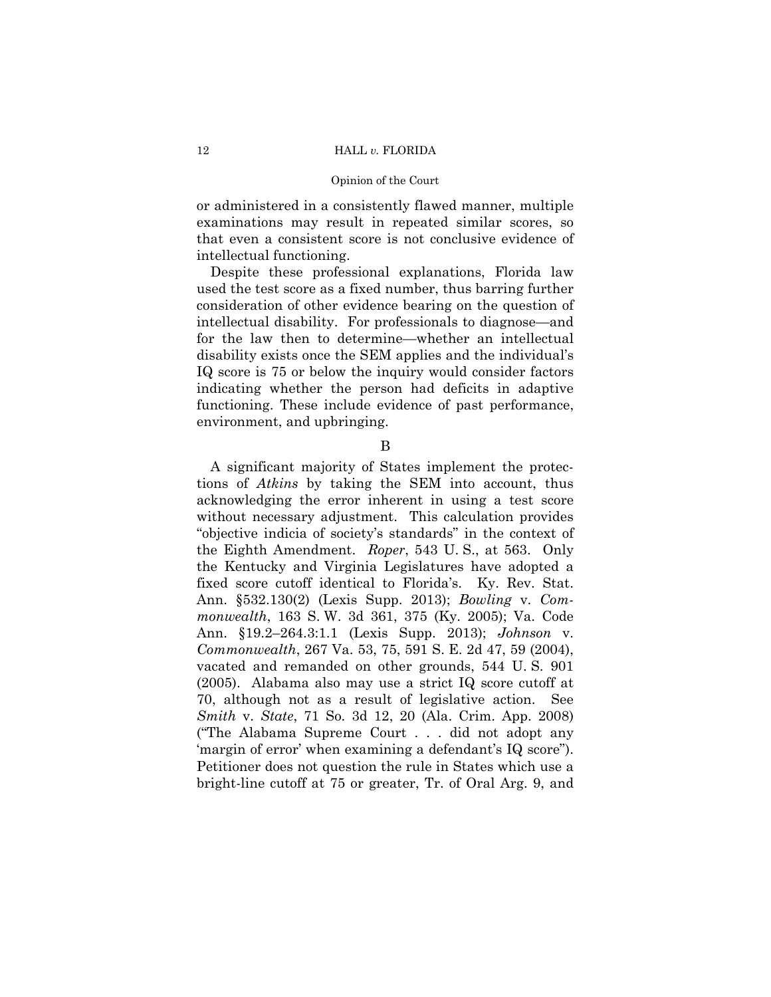or administered in a consistently flawed manner, multiple examinations may result in repeated similar scores, so that even a consistent score is not conclusive evidence of intellectual functioning.

Despite these professional explanations, Florida law used the test score as a fixed number, thus barring further consideration of other evidence bearing on the question of intellectual disability. For professionals to diagnose—and for the law then to determine—whether an intellectual disability exists once the SEM applies and the individual's IQ score is 75 or below the inquiry would consider factors indicating whether the person had deficits in adaptive functioning. These include evidence of past performance, environment, and upbringing.

B

A significant majority of States implement the protections of *Atkins* by taking the SEM into account, thus acknowledging the error inherent in using a test score without necessary adjustment. This calculation provides "objective indicia of society's standards" in the context of the Eighth Amendment. *Roper*, 543 U. S., at 563. Only the Kentucky and Virginia Legislatures have adopted a fixed score cutoff identical to Florida's. Ky. Rev. Stat. Ann. §532.130(2) (Lexis Supp. 2013); *Bowling* v. *Commonwealth*, 163 S. W. 3d 361, 375 (Ky. 2005); Va. Code Ann. §19.2–264.3:1.1 (Lexis Supp. 2013); *Johnson* v. *Commonwealth*, 267 Va. 53, 75, 591 S. E. 2d 47, 59 (2004), vacated and remanded on other grounds, 544 U. S. 901 (2005). Alabama also may use a strict IQ score cutoff at 70, although not as a result of legislative action. See *Smith* v. *State*, 71 So. 3d 12, 20 (Ala. Crim. App. 2008) ("The Alabama Supreme Court . . . did not adopt any 'margin of error' when examining a defendant's IQ score"). Petitioner does not question the rule in States which use a bright-line cutoff at 75 or greater, Tr. of Oral Arg. 9, and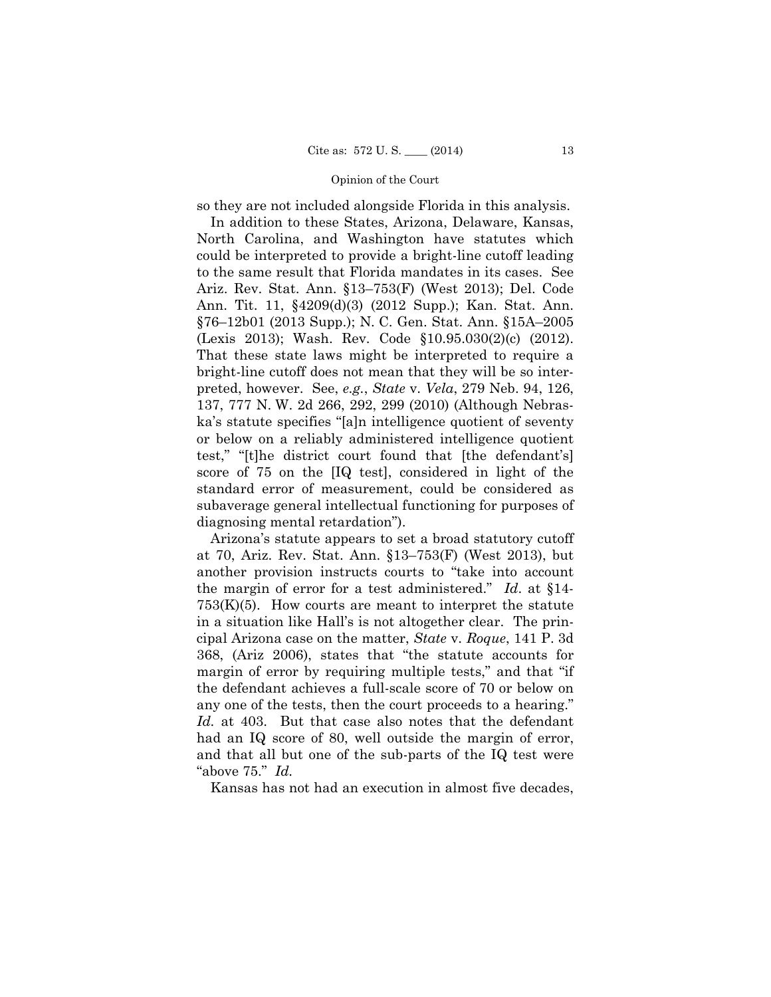so they are not included alongside Florida in this analysis.

In addition to these States, Arizona, Delaware, Kansas, North Carolina, and Washington have statutes which could be interpreted to provide a bright-line cutoff leading to the same result that Florida mandates in its cases. See Ariz. Rev. Stat. Ann. §13–753(F) (West 2013); Del. Code Ann. Tit. 11, §4209(d)(3) (2012 Supp.); Kan. Stat. Ann. §76–12b01 (2013 Supp.); N. C. Gen. Stat. Ann. §15A–2005 (Lexis 2013); Wash. Rev. Code §10.95.030(2)(c) (2012). That these state laws might be interpreted to require a bright-line cutoff does not mean that they will be so interpreted, however. See, *e.g.*, *State* v. *Vela*, 279 Neb. 94, 126, 137, 777 N. W. 2d 266, 292, 299 (2010) (Although Nebraska's statute specifies "[a]n intelligence quotient of seventy or below on a reliably administered intelligence quotient test," "[t]he district court found that [the defendant's] score of 75 on the [IQ test], considered in light of the standard error of measurement, could be considered as subaverage general intellectual functioning for purposes of diagnosing mental retardation").

 $753(K)(5)$ . How courts are meant to interpret the statute Arizona's statute appears to set a broad statutory cutoff at 70, Ariz. Rev. Stat. Ann. §13–753(F) (West 2013), but another provision instructs courts to "take into account the margin of error for a test administered." *Id*. at §14 in a situation like Hall's is not altogether clear. The principal Arizona case on the matter, *State* v. *Roque*, 141 P. 3d 368, (Ariz 2006), states that "the statute accounts for margin of error by requiring multiple tests," and that "if the defendant achieves a full-scale score of 70 or below on any one of the tests, then the court proceeds to a hearing." *Id.* at 403. But that case also notes that the defendant had an IQ score of 80, well outside the margin of error, and that all but one of the sub-parts of the IQ test were "above 75." *Id.* 

Kansas has not had an execution in almost five decades,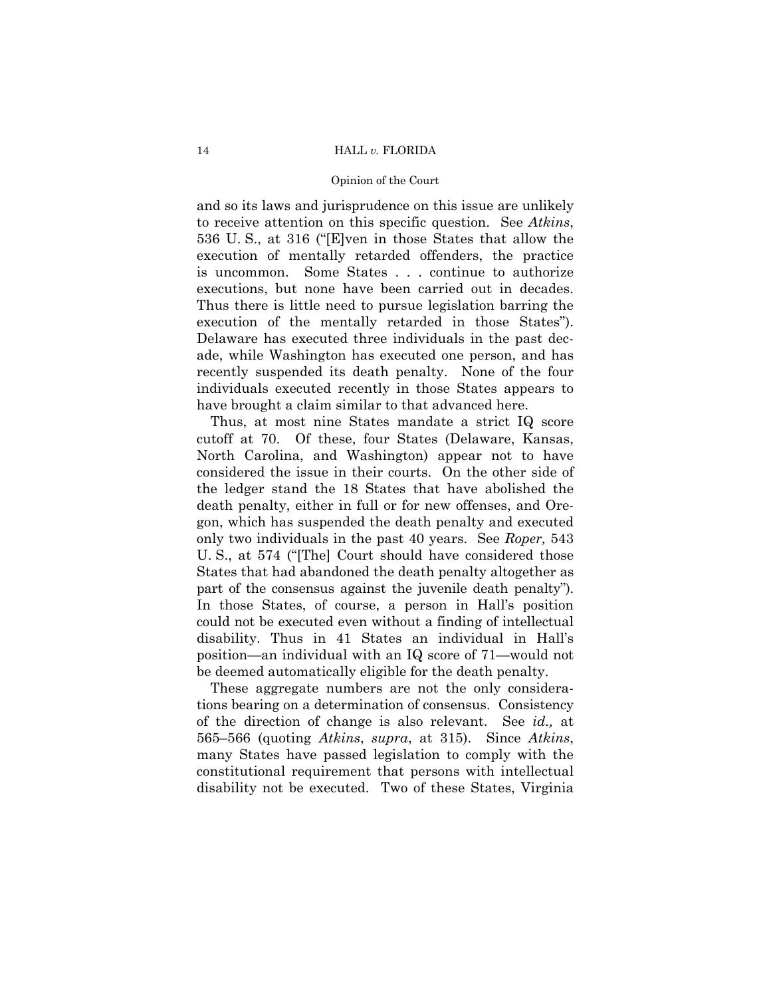and so its laws and jurisprudence on this issue are unlikely to receive attention on this specific question. See *Atkins*, 536 U. S., at 316 ("[E]ven in those States that allow the execution of mentally retarded offenders, the practice is uncommon. Some States . . . continue to authorize executions, but none have been carried out in decades. Thus there is little need to pursue legislation barring the execution of the mentally retarded in those States"). Delaware has executed three individuals in the past decade, while Washington has executed one person, and has recently suspended its death penalty. None of the four individuals executed recently in those States appears to have brought a claim similar to that advanced here.

Thus, at most nine States mandate a strict IQ score cutoff at 70. Of these, four States (Delaware, Kansas, North Carolina, and Washington) appear not to have considered the issue in their courts. On the other side of the ledger stand the 18 States that have abolished the death penalty, either in full or for new offenses, and Oregon, which has suspended the death penalty and executed only two individuals in the past 40 years. See *Roper,* 543 U. S., at 574 ("[The] Court should have considered those States that had abandoned the death penalty altogether as part of the consensus against the juvenile death penalty"). In those States, of course, a person in Hall's position could not be executed even without a finding of intellectual disability. Thus in 41 States an individual in Hall's position—an individual with an IQ score of 71—would not be deemed automatically eligible for the death penalty.

These aggregate numbers are not the only considerations bearing on a determination of consensus. Consistency of the direction of change is also relevant. See *id.,* at 565–566 (quoting *Atkins*, *supra*, at 315). Since *Atkins*, many States have passed legislation to comply with the constitutional requirement that persons with intellectual disability not be executed. Two of these States, Virginia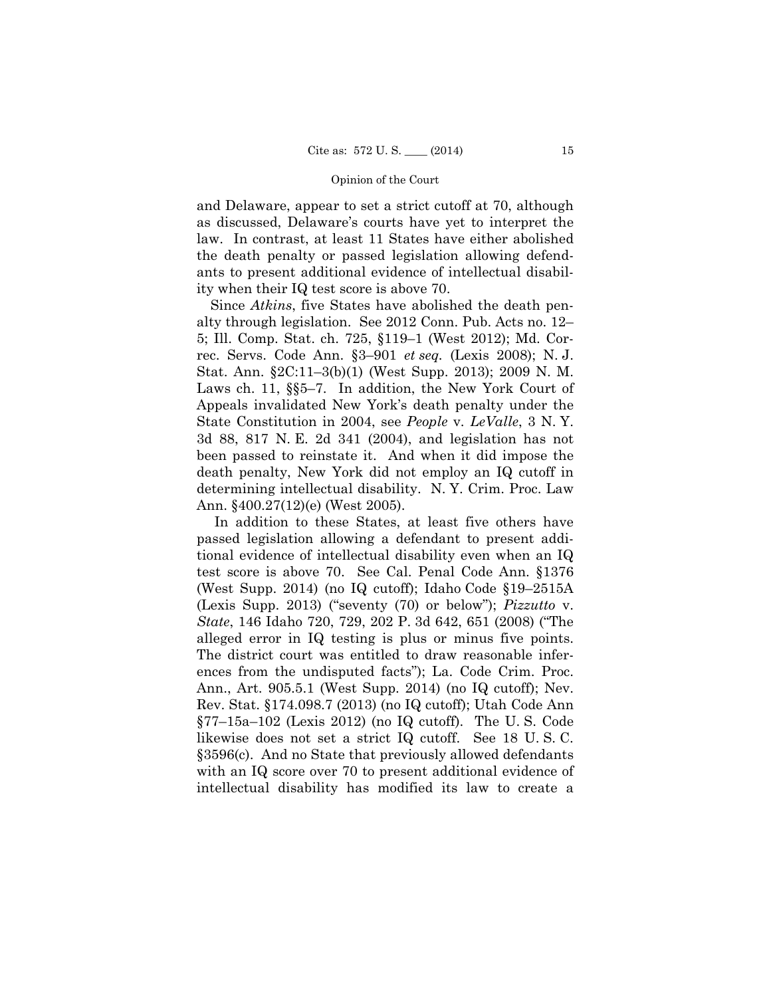and Delaware, appear to set a strict cutoff at 70, although as discussed, Delaware's courts have yet to interpret the law. In contrast, at least 11 States have either abolished the death penalty or passed legislation allowing defendants to present additional evidence of intellectual disability when their IQ test score is above 70.

Since *Atkins*, five States have abolished the death penalty through legislation. See 2012 Conn. Pub. Acts no. 12– 5; Ill. Comp. Stat. ch. 725, §119–1 (West 2012); Md. Correc. Servs. Code Ann. §3–901 *et seq.* (Lexis 2008); N. J. Stat. Ann. §2C:11–3(b)(1) (West Supp. 2013); 2009 N. M. Laws ch. 11, §§5–7. In addition, the New York Court of Appeals invalidated New York's death penalty under the State Constitution in 2004, see *People* v. *LeValle*, 3 N. Y. 3d 88, 817 N. E. 2d 341 (2004), and legislation has not been passed to reinstate it. And when it did impose the death penalty, New York did not employ an IQ cutoff in determining intellectual disability. N. Y. Crim. Proc. Law Ann. §400.27(12)(e) (West 2005).

In addition to these States, at least five others have passed legislation allowing a defendant to present additional evidence of intellectual disability even when an IQ test score is above 70. See Cal. Penal Code Ann. §1376 (West Supp. 2014) (no IQ cutoff); Idaho Code §19–2515A (Lexis Supp. 2013) ("seventy (70) or below"); *Pizzutto* v. *State*, 146 Idaho 720, 729, 202 P. 3d 642, 651 (2008) ("The alleged error in IQ testing is plus or minus five points. The district court was entitled to draw reasonable inferences from the undisputed facts"); La. Code Crim. Proc. Ann., Art. 905.5.1 (West Supp. 2014) (no IQ cutoff); Nev. Rev. Stat. §174.098.7 (2013) (no IQ cutoff); Utah Code Ann §77–15a–102 (Lexis 2012) (no IQ cutoff). The U. S. Code likewise does not set a strict IQ cutoff. See 18 U. S. C. §3596(c). And no State that previously allowed defendants with an IQ score over 70 to present additional evidence of intellectual disability has modified its law to create a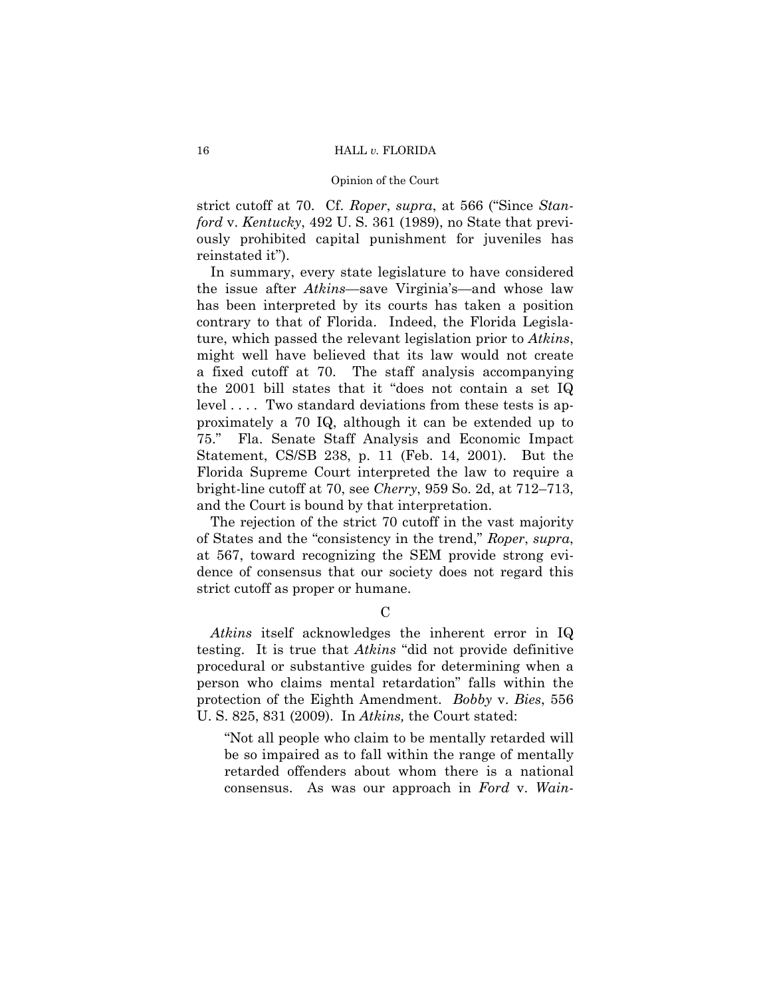strict cutoff at 70. Cf. *Roper*, *supra*, at 566 ("Since *Stanford* v. *Kentucky*, 492 U. S. 361 (1989), no State that previously prohibited capital punishment for juveniles has reinstated it").

In summary, every state legislature to have considered the issue after *Atkins*—save Virginia's—and whose law has been interpreted by its courts has taken a position contrary to that of Florida. Indeed, the Florida Legislature, which passed the relevant legislation prior to *Atkins*, might well have believed that its law would not create a fixed cutoff at 70. The staff analysis accompanying the 2001 bill states that it "does not contain a set IQ level .... Two standard deviations from these tests is approximately a 70 IQ, although it can be extended up to 75." Fla. Senate Staff Analysis and Economic Impact Statement, CS/SB 238, p. 11 (Feb. 14, 2001). But the Florida Supreme Court interpreted the law to require a bright-line cutoff at 70, see *Cherry*, 959 So. 2d, at 712–713, and the Court is bound by that interpretation.

The rejection of the strict 70 cutoff in the vast majority of States and the "consistency in the trend," *Roper*, *supra*, at 567, toward recognizing the SEM provide strong evidence of consensus that our society does not regard this strict cutoff as proper or humane.

 $\mathcal{C}$ 

*Atkins* itself acknowledges the inherent error in IQ testing. It is true that *Atkins* "did not provide definitive procedural or substantive guides for determining when a person who claims mental retardation" falls within the protection of the Eighth Amendment. *Bobby* v. *Bies*, 556 U. S. 825, 831 (2009). In *Atkins,* the Court stated:

"Not all people who claim to be mentally retarded will be so impaired as to fall within the range of mentally retarded offenders about whom there is a national consensus. As was our approach in *Ford* v. *Wain-*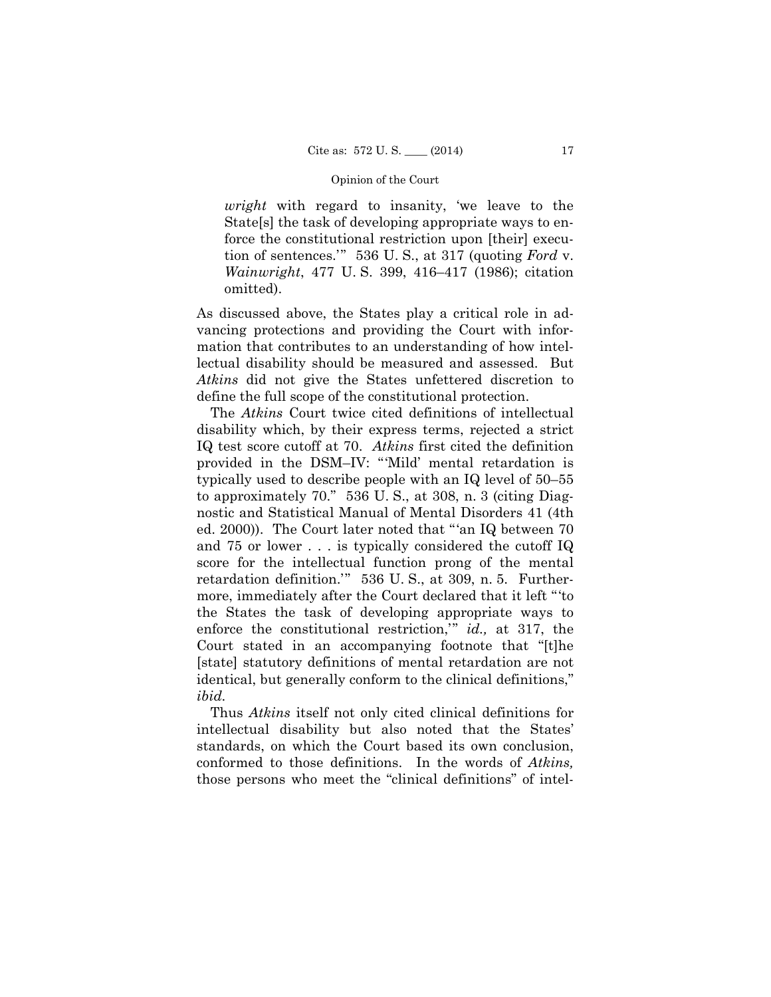*wright* with regard to insanity, 'we leave to the State[s] the task of developing appropriate ways to enforce the constitutional restriction upon [their] execution of sentences.'" 536 U. S., at 317 (quoting *Ford* v. *Wainwright*, 477 U. S. 399, 416–417 (1986); citation omitted).

As discussed above, the States play a critical role in advancing protections and providing the Court with information that contributes to an understanding of how intellectual disability should be measured and assessed. But *Atkins* did not give the States unfettered discretion to define the full scope of the constitutional protection.

The *Atkins* Court twice cited definitions of intellectual disability which, by their express terms, rejected a strict IQ test score cutoff at 70. *Atkins* first cited the definition provided in the DSM–IV: "'Mild' mental retardation is typically used to describe people with an IQ level of 50–55 to approximately 70." 536 U. S., at 308, n. 3 (citing Diagnostic and Statistical Manual of Mental Disorders 41 (4th ed. 2000)). The Court later noted that "'an IQ between 70 and 75 or lower . . . is typically considered the cutoff IQ score for the intellectual function prong of the mental retardation definition.'" 536 U. S., at 309, n. 5. Furthermore, immediately after the Court declared that it left "'to the States the task of developing appropriate ways to enforce the constitutional restriction,'" *id.,* at 317, the Court stated in an accompanying footnote that "[t]he [state] statutory definitions of mental retardation are not identical, but generally conform to the clinical definitions," *ibid.*

 Thus *Atkins* itself not only cited clinical definitions for intellectual disability but also noted that the States' standards, on which the Court based its own conclusion, conformed to those definitions. In the words of *Atkins,*  those persons who meet the "clinical definitions" of intel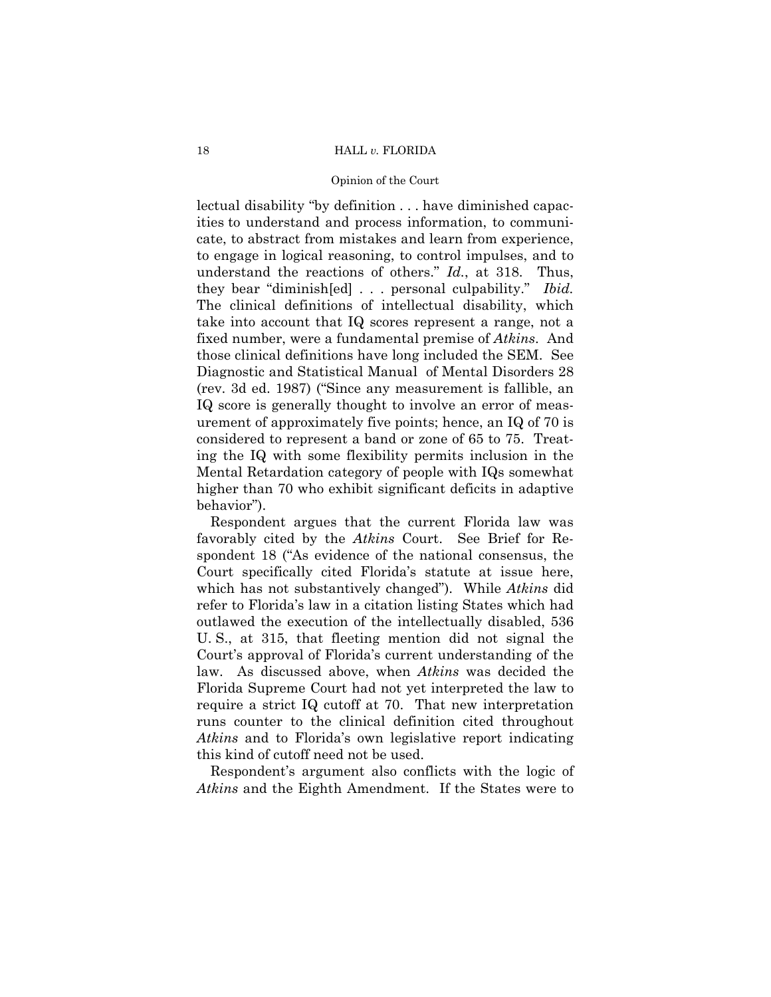lectual disability "by definition . . . have diminished capacities to understand and process information, to communicate, to abstract from mistakes and learn from experience, to engage in logical reasoning, to control impulses, and to understand the reactions of others." *Id.*, at 318. Thus, they bear "diminish[ed] . . . personal culpability." *Ibid.* The clinical definitions of intellectual disability, which take into account that IQ scores represent a range, not a fixed number, were a fundamental premise of *Atkins*. And those clinical definitions have long included the SEM. See Diagnostic and Statistical Manual of Mental Disorders 28 (rev. 3d ed. 1987) ("Since any measurement is fallible, an IQ score is generally thought to involve an error of measurement of approximately five points; hence, an IQ of 70 is considered to represent a band or zone of 65 to 75. Treating the IQ with some flexibility permits inclusion in the Mental Retardation category of people with IQs somewhat higher than 70 who exhibit significant deficits in adaptive behavior").

Respondent argues that the current Florida law was favorably cited by the *Atkins* Court. See Brief for Respondent 18 ("As evidence of the national consensus, the Court specifically cited Florida's statute at issue here, which has not substantively changed"). While *Atkins* did refer to Florida's law in a citation listing States which had outlawed the execution of the intellectually disabled, 536 U. S., at 315, that fleeting mention did not signal the Court's approval of Florida's current understanding of the law. As discussed above, when *Atkins* was decided the Florida Supreme Court had not yet interpreted the law to require a strict IQ cutoff at 70. That new interpretation runs counter to the clinical definition cited throughout *Atkins* and to Florida's own legislative report indicating this kind of cutoff need not be used.

Respondent's argument also conflicts with the logic of *Atkins* and the Eighth Amendment. If the States were to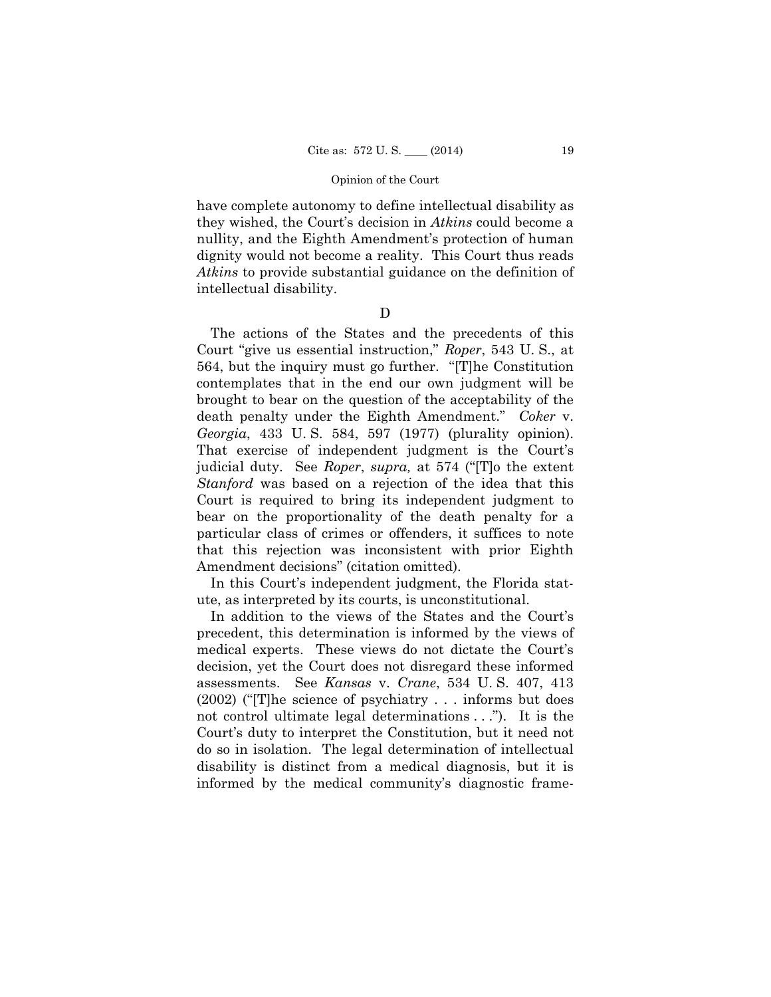have complete autonomy to define intellectual disability as they wished, the Court's decision in *Atkins* could become a nullity, and the Eighth Amendment's protection of human dignity would not become a reality. This Court thus reads *Atkins* to provide substantial guidance on the definition of intellectual disability.

 $\mathbf D$ 

The actions of the States and the precedents of this Court "give us essential instruction," *Roper*, 543 U. S., at 564, but the inquiry must go further. "[T]he Constitution contemplates that in the end our own judgment will be brought to bear on the question of the acceptability of the death penalty under the Eighth Amendment." *Coker* v. *Georgia*, 433 U. S. 584, 597 (1977) (plurality opinion). That exercise of independent judgment is the Court's judicial duty. See *Roper*, *supra,* at 574 ("[T]o the extent *Stanford* was based on a rejection of the idea that this Court is required to bring its independent judgment to bear on the proportionality of the death penalty for a particular class of crimes or offenders, it suffices to note that this rejection was inconsistent with prior Eighth Amendment decisions" (citation omitted).

In this Court's independent judgment, the Florida statute, as interpreted by its courts, is unconstitutional.

In addition to the views of the States and the Court's precedent, this determination is informed by the views of medical experts. These views do not dictate the Court's decision, yet the Court does not disregard these informed assessments. See *Kansas* v. *Crane*, 534 U. S. 407, 413 (2002) ("[T]he science of psychiatry . . . informs but does not control ultimate legal determinations . . ."). It is the Court's duty to interpret the Constitution, but it need not do so in isolation. The legal determination of intellectual disability is distinct from a medical diagnosis, but it is informed by the medical community's diagnostic frame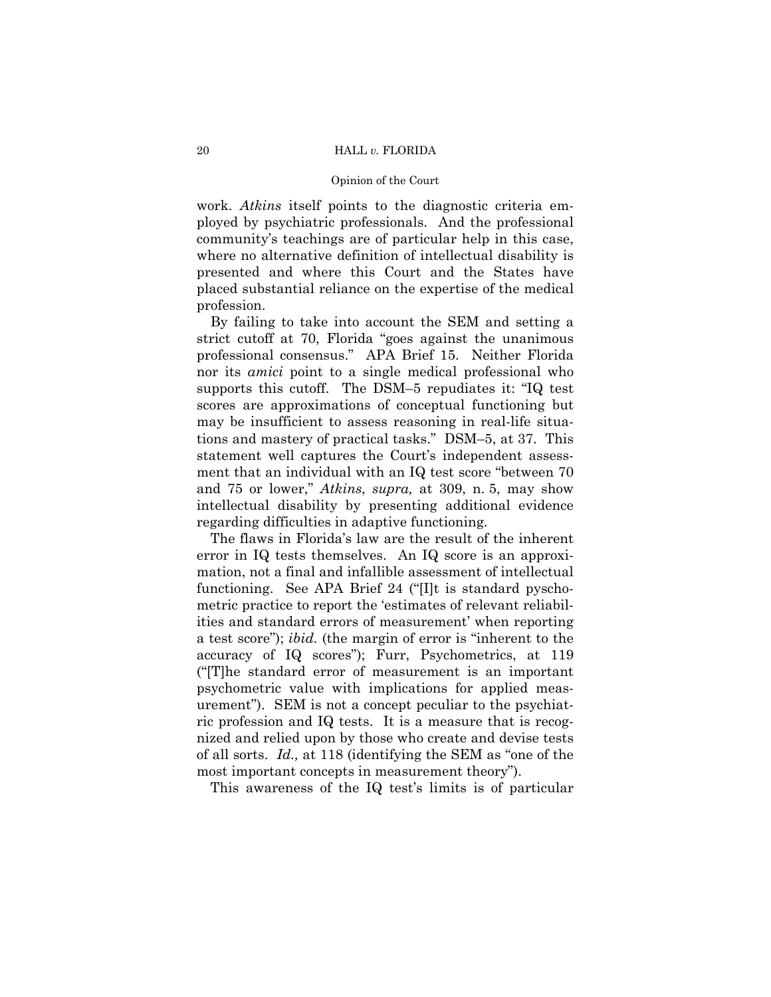#### 20 HALL *v.* FLORIDA

#### Opinion of the Court

work. *Atkins* itself points to the diagnostic criteria employed by psychiatric professionals. And the professional community's teachings are of particular help in this case, where no alternative definition of intellectual disability is presented and where this Court and the States have placed substantial reliance on the expertise of the medical profession.

By failing to take into account the SEM and setting a strict cutoff at 70, Florida "goes against the unanimous professional consensus." APA Brief 15. Neither Florida nor its *amici* point to a single medical professional who supports this cutoff. The DSM–5 repudiates it: "IQ test scores are approximations of conceptual functioning but may be insufficient to assess reasoning in real-life situations and mastery of practical tasks." DSM–5, at 37. This statement well captures the Court's independent assessment that an individual with an IQ test score "between 70 and 75 or lower," *Atkins*, *supra,* at 309, n. 5, may show intellectual disability by presenting additional evidence regarding difficulties in adaptive functioning.

The flaws in Florida's law are the result of the inherent error in IQ tests themselves. An IQ score is an approximation, not a final and infallible assessment of intellectual functioning. See APA Brief 24 ("[I]t is standard pyschometric practice to report the 'estimates of relevant reliabilities and standard errors of measurement' when reporting a test score"); *ibid.* (the margin of error is "inherent to the accuracy of IQ scores"); Furr, Psychometrics, at 119 ("[T]he standard error of measurement is an important psychometric value with implications for applied measurement"). SEM is not a concept peculiar to the psychiatric profession and IQ tests. It is a measure that is recognized and relied upon by those who create and devise tests of all sorts. *Id.,* at 118 (identifying the SEM as "one of the most important concepts in measurement theory").

This awareness of the IQ test's limits is of particular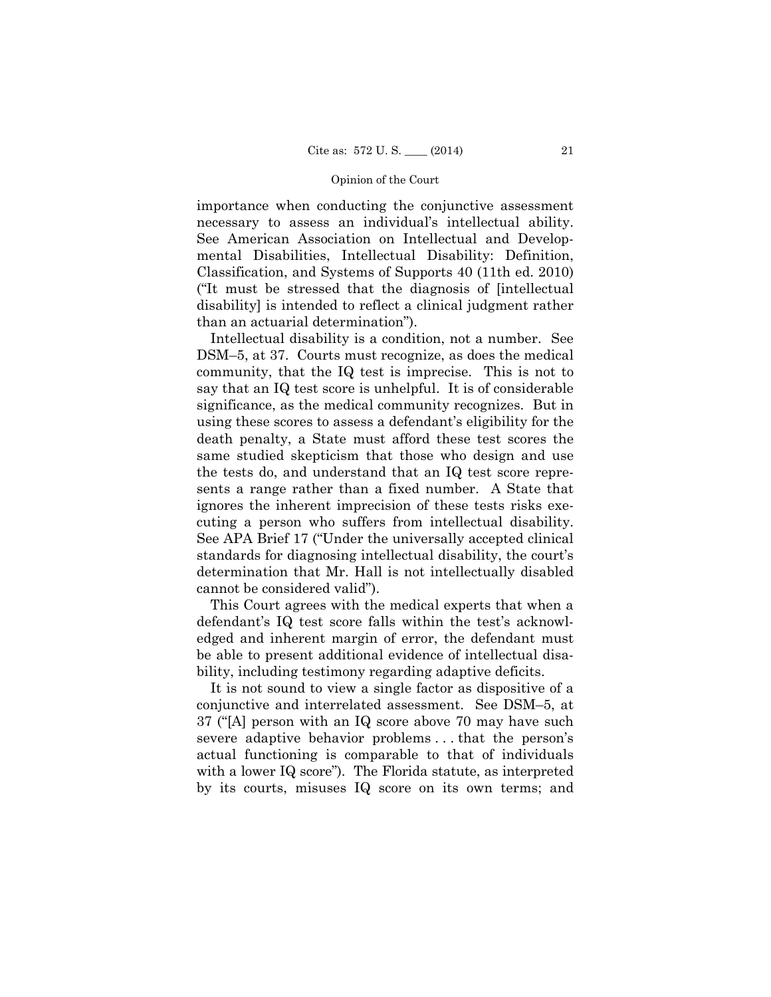importance when conducting the conjunctive assessment necessary to assess an individual's intellectual ability. See American Association on Intellectual and Developmental Disabilities, Intellectual Disability: Definition, Classification, and Systems of Supports 40 (11th ed. 2010) ("It must be stressed that the diagnosis of [intellectual disability] is intended to reflect a clinical judgment rather than an actuarial determination").

Intellectual disability is a condition, not a number. See DSM–5, at 37. Courts must recognize, as does the medical community, that the IQ test is imprecise. This is not to say that an IQ test score is unhelpful. It is of considerable significance, as the medical community recognizes. But in using these scores to assess a defendant's eligibility for the death penalty, a State must afford these test scores the same studied skepticism that those who design and use the tests do, and understand that an IQ test score represents a range rather than a fixed number. A State that ignores the inherent imprecision of these tests risks executing a person who suffers from intellectual disability. See APA Brief 17 ("Under the universally accepted clinical standards for diagnosing intellectual disability, the court's determination that Mr. Hall is not intellectually disabled cannot be considered valid").

This Court agrees with the medical experts that when a defendant's IQ test score falls within the test's acknowledged and inherent margin of error, the defendant must be able to present additional evidence of intellectual disability, including testimony regarding adaptive deficits.

It is not sound to view a single factor as dispositive of a conjunctive and interrelated assessment. See DSM–5, at 37 ("[A] person with an IQ score above 70 may have such severe adaptive behavior problems . . . that the person's actual functioning is comparable to that of individuals with a lower IQ score"). The Florida statute, as interpreted by its courts, misuses IQ score on its own terms; and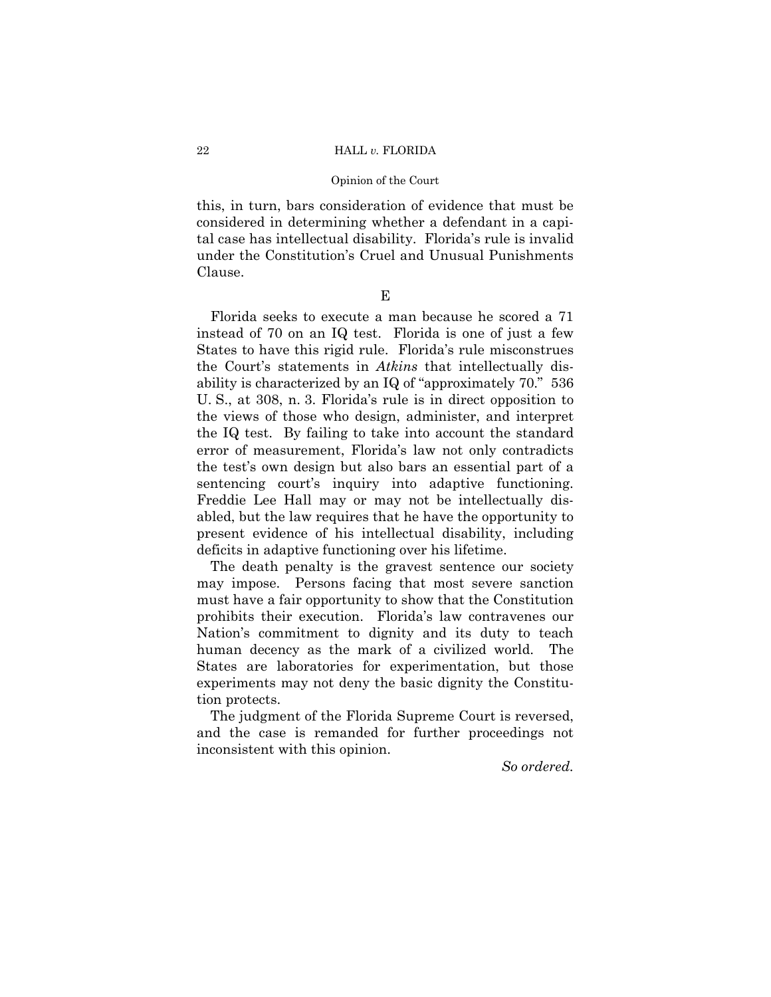## 22 HALL *v.* FLORIDA

#### Opinion of the Court

this, in turn, bars consideration of evidence that must be considered in determining whether a defendant in a capital case has intellectual disability. Florida's rule is invalid under the Constitution's Cruel and Unusual Punishments Clause.

E

Florida seeks to execute a man because he scored a 71 instead of 70 on an IQ test. Florida is one of just a few States to have this rigid rule. Florida's rule misconstrues the Court's statements in *Atkins* that intellectually disability is characterized by an IQ of "approximately 70." 536 U. S., at 308, n. 3. Florida's rule is in direct opposition to the views of those who design, administer, and interpret the IQ test. By failing to take into account the standard error of measurement, Florida's law not only contradicts the test's own design but also bars an essential part of a sentencing court's inquiry into adaptive functioning. Freddie Lee Hall may or may not be intellectually disabled, but the law requires that he have the opportunity to present evidence of his intellectual disability, including deficits in adaptive functioning over his lifetime.

The death penalty is the gravest sentence our society may impose. Persons facing that most severe sanction must have a fair opportunity to show that the Constitution prohibits their execution. Florida's law contravenes our Nation's commitment to dignity and its duty to teach human decency as the mark of a civilized world. The States are laboratories for experimentation, but those experiments may not deny the basic dignity the Constitution protects.

The judgment of the Florida Supreme Court is reversed, and the case is remanded for further proceedings not inconsistent with this opinion.

*So ordered.*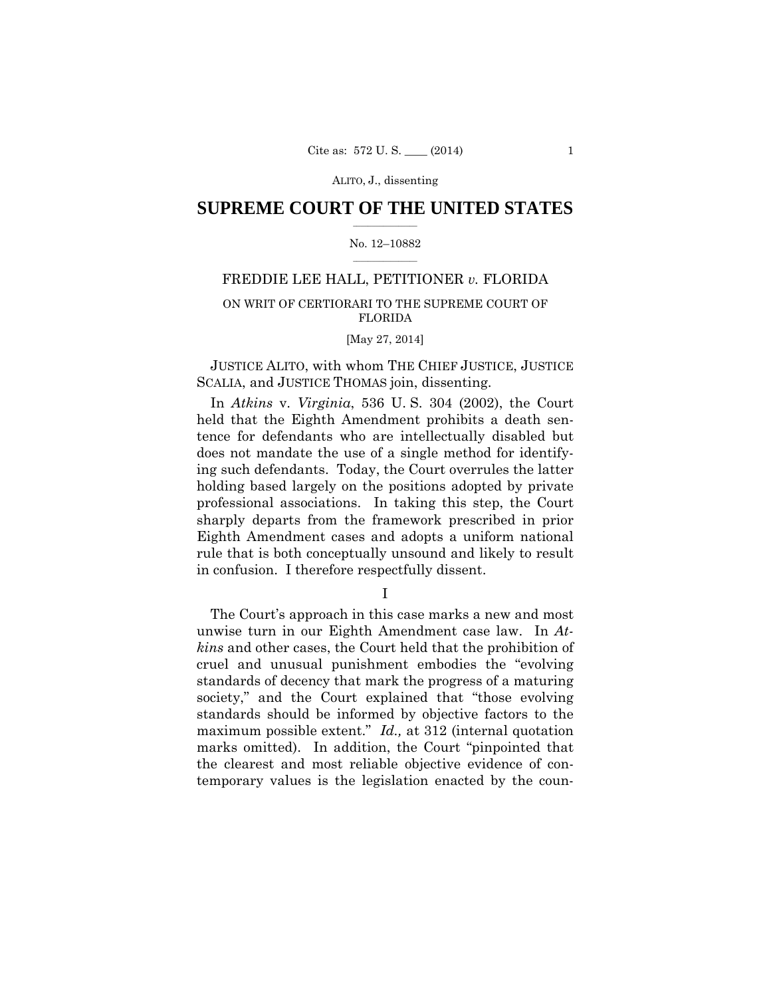## $\frac{1}{2}$  ,  $\frac{1}{2}$  ,  $\frac{1}{2}$  ,  $\frac{1}{2}$  ,  $\frac{1}{2}$  ,  $\frac{1}{2}$  ,  $\frac{1}{2}$ **SUPREME COURT OF THE UNITED STATES**

#### $\frac{1}{2}$  ,  $\frac{1}{2}$  ,  $\frac{1}{2}$  ,  $\frac{1}{2}$  ,  $\frac{1}{2}$  ,  $\frac{1}{2}$ No. 12–10882

## FREDDIE LEE HALL, PETITIONER *v.* FLORIDA

## ON WRIT OF CERTIORARI TO THE SUPREME COURT OF FLORIDA

## [May 27, 2014]

JUSTICE ALITO, with whom THE CHIEF JUSTICE, JUSTICE SCALIA, and JUSTICE THOMAS join, dissenting.

In *Atkins* v. *Virginia*, 536 U. S. 304 (2002), the Court held that the Eighth Amendment prohibits a death sentence for defendants who are intellectually disabled but does not mandate the use of a single method for identifying such defendants. Today, the Court overrules the latter holding based largely on the positions adopted by private professional associations. In taking this step, the Court sharply departs from the framework prescribed in prior Eighth Amendment cases and adopts a uniform national rule that is both conceptually unsound and likely to result in confusion. I therefore respectfully dissent.

I

The Court's approach in this case marks a new and most unwise turn in our Eighth Amendment case law. In *Atkins* and other cases, the Court held that the prohibition of cruel and unusual punishment embodies the "evolving standards of decency that mark the progress of a maturing society," and the Court explained that "those evolving" standards should be informed by objective factors to the maximum possible extent." *Id.,* at 312 (internal quotation marks omitted). In addition, the Court "pinpointed that the clearest and most reliable objective evidence of contemporary values is the legislation enacted by the coun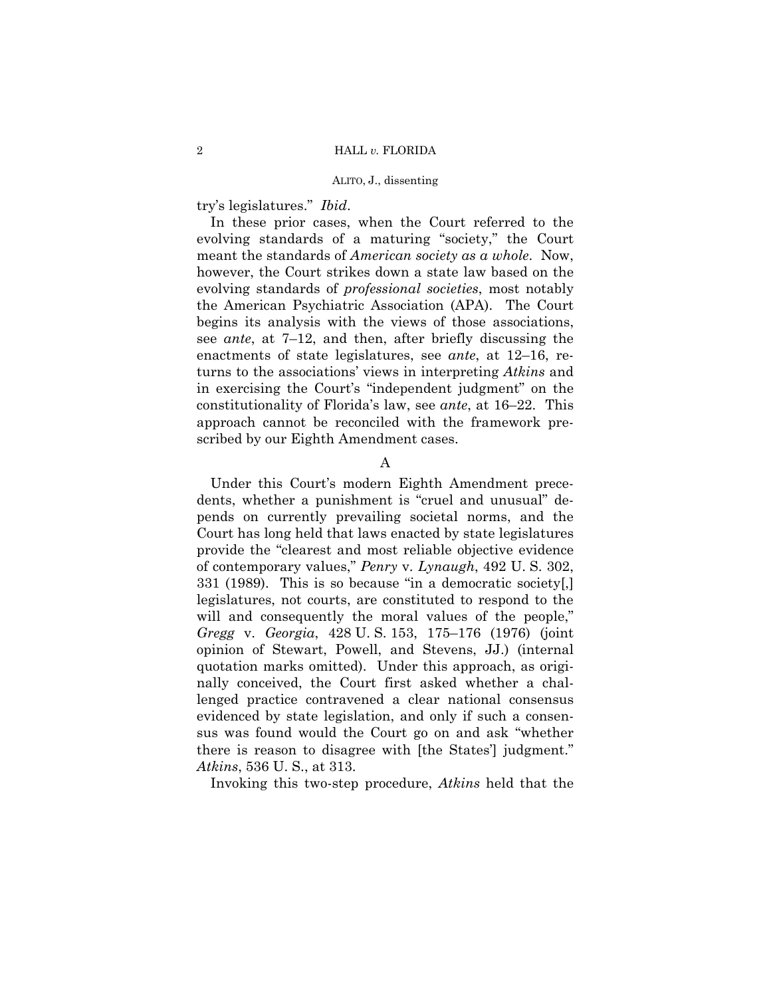try's legislatures." *Ibid*.

In these prior cases, when the Court referred to the evolving standards of a maturing "society," the Court meant the standards of *American society as a whole*. Now, however, the Court strikes down a state law based on the evolving standards of *professional societies*, most notably the American Psychiatric Association (APA). The Court begins its analysis with the views of those associations, see *ante*, at 7–12, and then, after briefly discussing the enactments of state legislatures, see *ante*, at 12–16, returns to the associations' views in interpreting *Atkins* and in exercising the Court's "independent judgment" on the constitutionality of Florida's law, see *ante*, at 16–22. This approach cannot be reconciled with the framework prescribed by our Eighth Amendment cases.

## A

Under this Court's modern Eighth Amendment precedents, whether a punishment is "cruel and unusual" depends on currently prevailing societal norms, and the Court has long held that laws enacted by state legislatures provide the "clearest and most reliable objective evidence of contemporary values," *Penry* v. *Lynaugh*, 492 U. S. 302, 331 (1989). This is so because "in a democratic society[,] legislatures, not courts, are constituted to respond to the will and consequently the moral values of the people," *Gregg* v. *Georgia*, 428 U. S. 153, 175–176 (1976) (joint opinion of Stewart, Powell, and Stevens, JJ.) (internal quotation marks omitted). Under this approach, as originally conceived, the Court first asked whether a challenged practice contravened a clear national consensus evidenced by state legislation, and only if such a consensus was found would the Court go on and ask "whether there is reason to disagree with [the States'] judgment." *Atkins*, 536 U. S., at 313.

Invoking this two-step procedure, *Atkins* held that the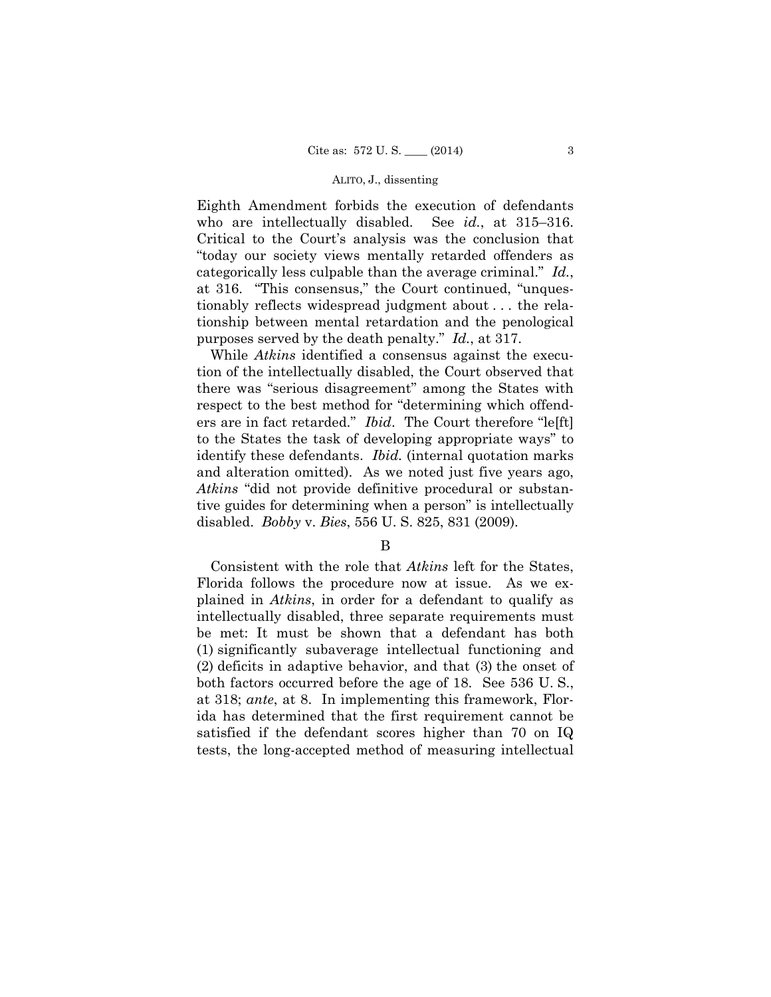Eighth Amendment forbids the execution of defendants who are intellectually disabled. See *id.*, at 315–316. Critical to the Court's analysis was the conclusion that "today our society views mentally retarded offenders as categorically less culpable than the average criminal." *Id.*, at 316. "This consensus," the Court continued, "unquestionably reflects widespread judgment about . . . the relationship between mental retardation and the penological purposes served by the death penalty." *Id.*, at 317.

While *Atkins* identified a consensus against the execution of the intellectually disabled, the Court observed that there was "serious disagreement" among the States with respect to the best method for "determining which offenders are in fact retarded." *Ibid*. The Court therefore "le[ft] to the States the task of developing appropriate ways" to identify these defendants. *Ibid.* (internal quotation marks and alteration omitted). As we noted just five years ago, *Atkins* "did not provide definitive procedural or substantive guides for determining when a person" is intellectually disabled. *Bobby* v. *Bies*, 556 U. S. 825, 831 (2009).

Consistent with the role that *Atkins* left for the States, Florida follows the procedure now at issue. As we explained in *Atkins*, in order for a defendant to qualify as intellectually disabled, three separate requirements must be met: It must be shown that a defendant has both (1) significantly subaverage intellectual functioning and (2) deficits in adaptive behavior, and that (3) the onset of both factors occurred before the age of 18. See 536 U. S., at 318; *ante*, at 8. In implementing this framework, Florida has determined that the first requirement cannot be satisfied if the defendant scores higher than 70 on IQ tests, the long-accepted method of measuring intellectual

B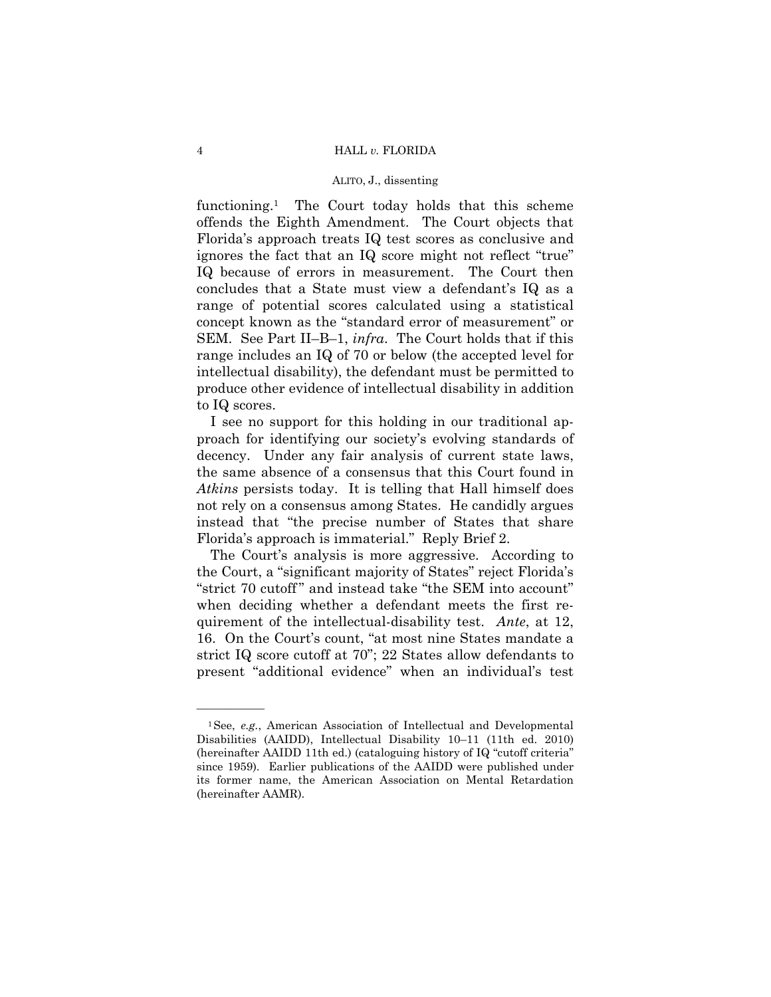functioning.1 The Court today holds that this scheme offends the Eighth Amendment. The Court objects that Florida's approach treats IQ test scores as conclusive and ignores the fact that an IQ score might not reflect "true" IQ because of errors in measurement. The Court then concludes that a State must view a defendant's IQ as a range of potential scores calculated using a statistical concept known as the "standard error of measurement" or SEM. See Part II–B–1, *infra*. The Court holds that if this range includes an IQ of 70 or below (the accepted level for intellectual disability), the defendant must be permitted to produce other evidence of intellectual disability in addition to IQ scores.

I see no support for this holding in our traditional approach for identifying our society's evolving standards of decency. Under any fair analysis of current state laws, the same absence of a consensus that this Court found in *Atkins* persists today. It is telling that Hall himself does not rely on a consensus among States. He candidly argues instead that "the precise number of States that share Florida's approach is immaterial." Reply Brief 2.

The Court's analysis is more aggressive. According to the Court, a "significant majority of States" reject Florida's "strict 70 cutoff" and instead take "the SEM into account" when deciding whether a defendant meets the first requirement of the intellectual-disability test. *Ante*, at 12, 16. On the Court's count, "at most nine States mandate a strict IQ score cutoff at 70"; 22 States allow defendants to present "additional evidence" when an individual's test

<sup>&</sup>lt;sup>1</sup>See, *e.g.*, American Association of Intellectual and Developmental Disabilities (AAIDD), Intellectual Disability 10–11 (11th ed. 2010) (hereinafter AAIDD 11th ed.) (cataloguing history of IQ "cutoff criteria" since 1959). Earlier publications of the AAIDD were published under its former name, the American Association on Mental Retardation (hereinafter AAMR).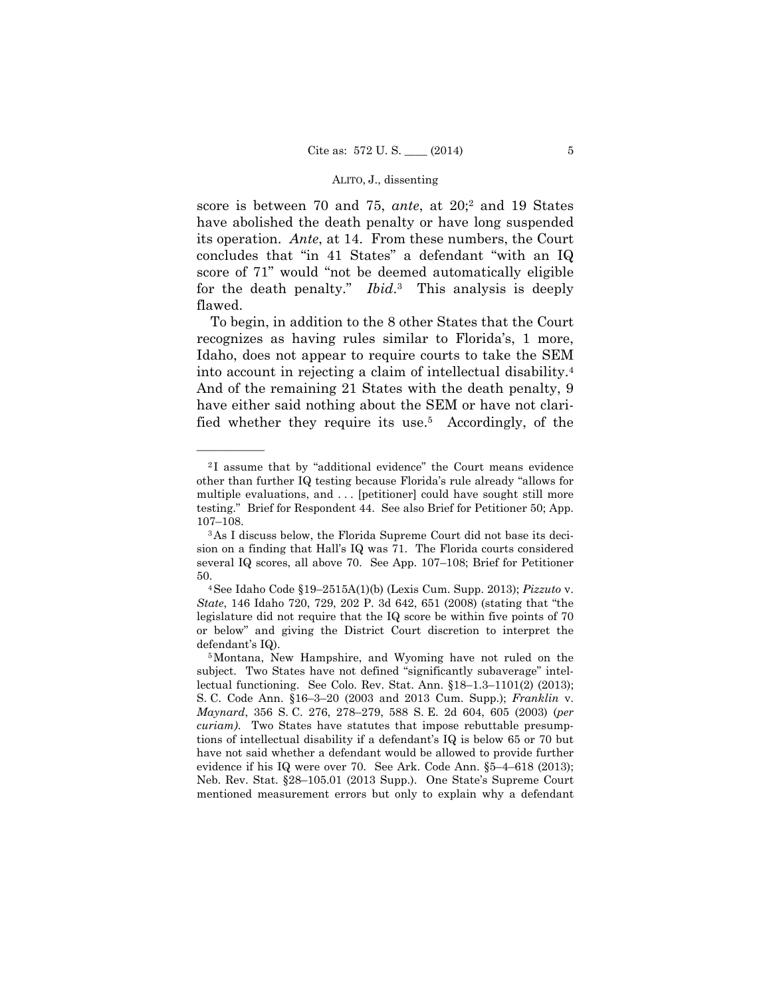for the death penalty." *Ibid*.3 This analysis is deeply score is between 70 and 75, *ante*, at 20;2 and 19 States have abolished the death penalty or have long suspended its operation. *Ante*, at 14. From these numbers, the Court concludes that "in 41 States" a defendant "with an IQ score of 71" would "not be deemed automatically eligible flawed.

 into account in rejecting a claim of intellectual disability.4 To begin, in addition to the 8 other States that the Court recognizes as having rules similar to Florida's, 1 more, Idaho, does not appear to require courts to take the SEM And of the remaining 21 States with the death penalty, 9 have either said nothing about the SEM or have not clarified whether they require its use.5 Accordingly, of the

<sup>2</sup> I assume that by "additional evidence" the Court means evidence other than further IQ testing because Florida's rule already "allows for multiple evaluations, and . . . [petitioner] could have sought still more testing." Brief for Respondent 44. See also Brief for Petitioner 50; App.

 $107-108.$  3 As I discuss below, the Florida Supreme Court did not base its decision on a finding that Hall's IQ was 71. The Florida courts considered several IQ scores, all above 70. See App. 107–108; Brief for Petitioner 50. 4See Idaho Code §19–2515A(1)(b) (Lexis Cum. Supp. 2013); *Pizzuto* v.

*State*, 146 Idaho 720, 729, 202 P. 3d 642, 651 (2008) (stating that "the legislature did not require that the IQ score be within five points of 70 or below" and giving the District Court discretion to interpret the defendant's IQ).<br><sup>5</sup>Montana, New Hampshire, and Wyoming have not ruled on the

subject. Two States have not defined "significantly subaverage" intellectual functioning. See Colo. Rev. Stat. Ann. §18–1.3–1101(2) (2013); S. C. Code Ann. §16–3–20 (2003 and 2013 Cum. Supp.); *Franklin* v. *Maynard*, 356 S. C. 276, 278–279, 588 S. E. 2d 604, 605 (2003) (*per curiam)*. Two States have statutes that impose rebuttable presumptions of intellectual disability if a defendant's IQ is below 65 or 70 but have not said whether a defendant would be allowed to provide further evidence if his IQ were over 70. See Ark. Code Ann. §5–4–618 (2013); Neb. Rev. Stat. §28–105.01 (2013 Supp.). One State's Supreme Court mentioned measurement errors but only to explain why a defendant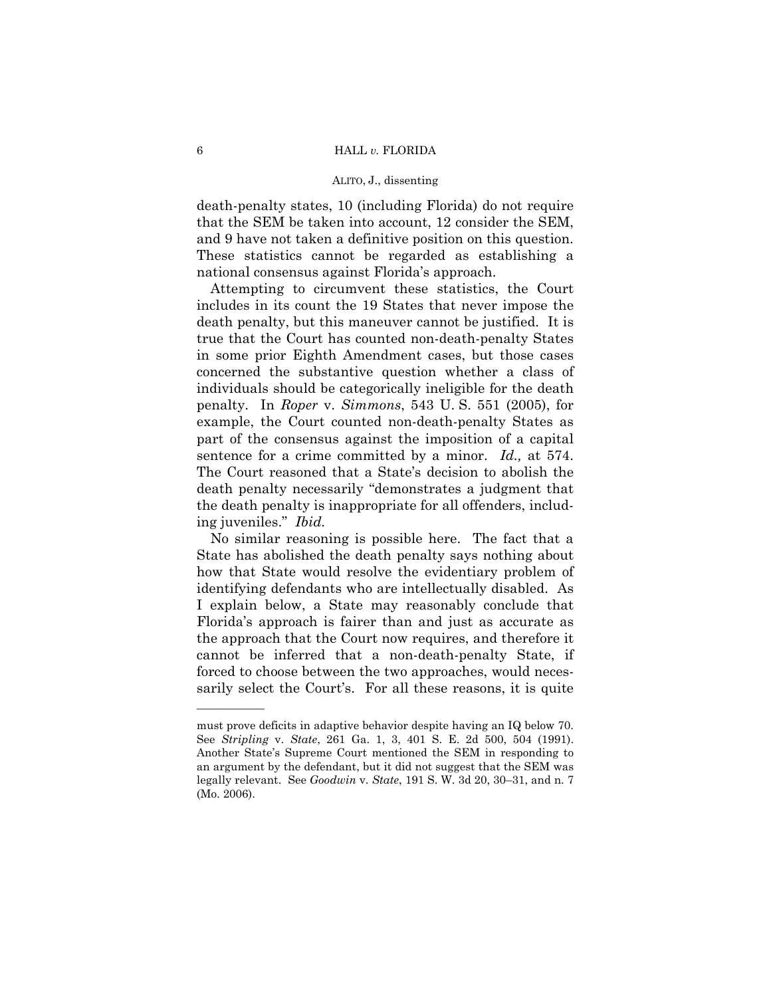death-penalty states, 10 (including Florida) do not require that the SEM be taken into account, 12 consider the SEM, and 9 have not taken a definitive position on this question. These statistics cannot be regarded as establishing a national consensus against Florida's approach.

 sentence for a crime committed by a minor. *Id.,* at 574. The Court reasoned that a State's decision to abolish the Attempting to circumvent these statistics, the Court includes in its count the 19 States that never impose the death penalty, but this maneuver cannot be justified. It is true that the Court has counted non-death-penalty States in some prior Eighth Amendment cases, but those cases concerned the substantive question whether a class of individuals should be categorically ineligible for the death penalty. In *Roper* v. *Simmons*, 543 U. S. 551 (2005), for example, the Court counted non-death-penalty States as part of the consensus against the imposition of a capital death penalty necessarily "demonstrates a judgment that the death penalty is inappropriate for all offenders, including juveniles." *Ibid.* 

No similar reasoning is possible here. The fact that a State has abolished the death penalty says nothing about how that State would resolve the evidentiary problem of identifying defendants who are intellectually disabled. As I explain below, a State may reasonably conclude that Florida's approach is fairer than and just as accurate as the approach that the Court now requires, and therefore it cannot be inferred that a non-death-penalty State, if forced to choose between the two approaches, would necessarily select the Court's. For all these reasons, it is quite

 must prove deficits in adaptive behavior despite having an IQ below 70. See *Stripling* v. *State*, 261 Ga. 1, 3, 401 S. E. 2d 500, 504 (1991). Another State's Supreme Court mentioned the SEM in responding to an argument by the defendant, but it did not suggest that the SEM was legally relevant. See *Goodwin* v. *State*, 191 S. W. 3d 20, 30–31, and n. 7 (Mo. 2006).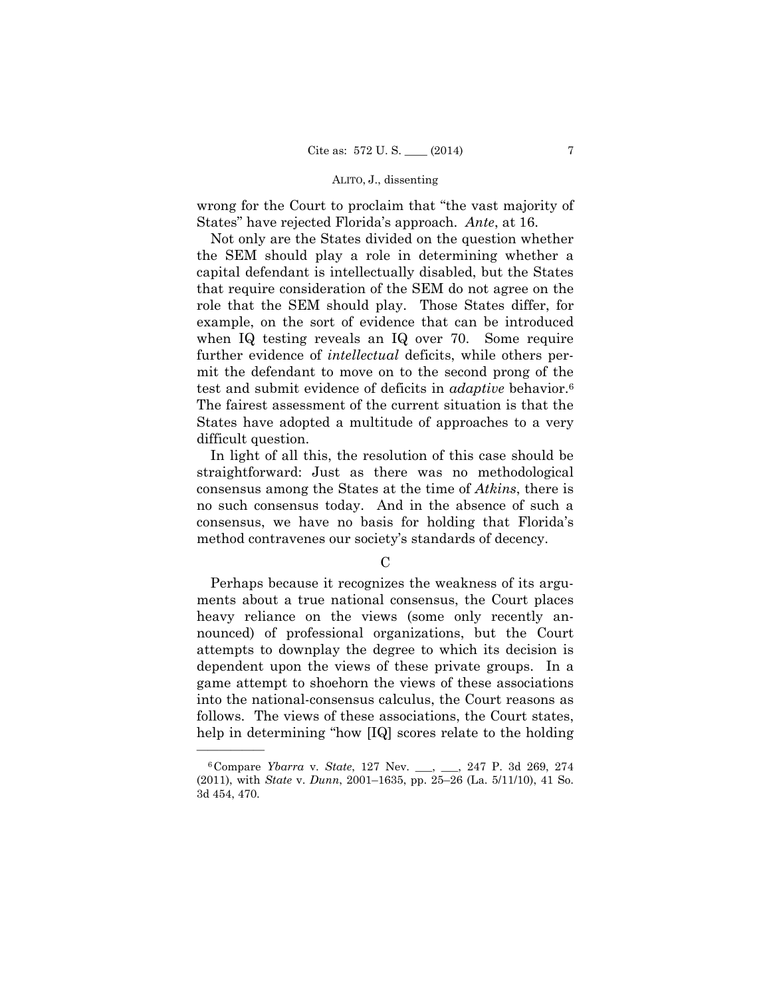wrong for the Court to proclaim that "the vast majority of States" have rejected Florida's approach. *Ante*, at 16.

 test and submit evidence of deficits in *adaptive* behavior.6 Not only are the States divided on the question whether the SEM should play a role in determining whether a capital defendant is intellectually disabled, but the States that require consideration of the SEM do not agree on the role that the SEM should play. Those States differ, for example, on the sort of evidence that can be introduced when IQ testing reveals an IQ over 70. Some require further evidence of *intellectual* deficits, while others permit the defendant to move on to the second prong of the The fairest assessment of the current situation is that the States have adopted a multitude of approaches to a very difficult question.

In light of all this, the resolution of this case should be straightforward: Just as there was no methodological consensus among the States at the time of *Atkins*, there is no such consensus today. And in the absence of such a consensus, we have no basis for holding that Florida's method contravenes our society's standards of decency.

## $\mathcal{C}$

Perhaps because it recognizes the weakness of its arguments about a true national consensus, the Court places heavy reliance on the views (some only recently announced) of professional organizations, but the Court attempts to downplay the degree to which its decision is dependent upon the views of these private groups. In a game attempt to shoehorn the views of these associations into the national-consensus calculus, the Court reasons as follows. The views of these associations, the Court states, help in determining "how [IQ] scores relate to the holding

 (2011), with *State* v. *Dunn*, 2001–1635, pp. 25–26 (La. 5/11/10), 41 So. 6Compare *Ybarra* v. *State*, 127 Nev. \_\_\_, \_\_\_, 247 P. 3d 269, 274 3d 454, 470.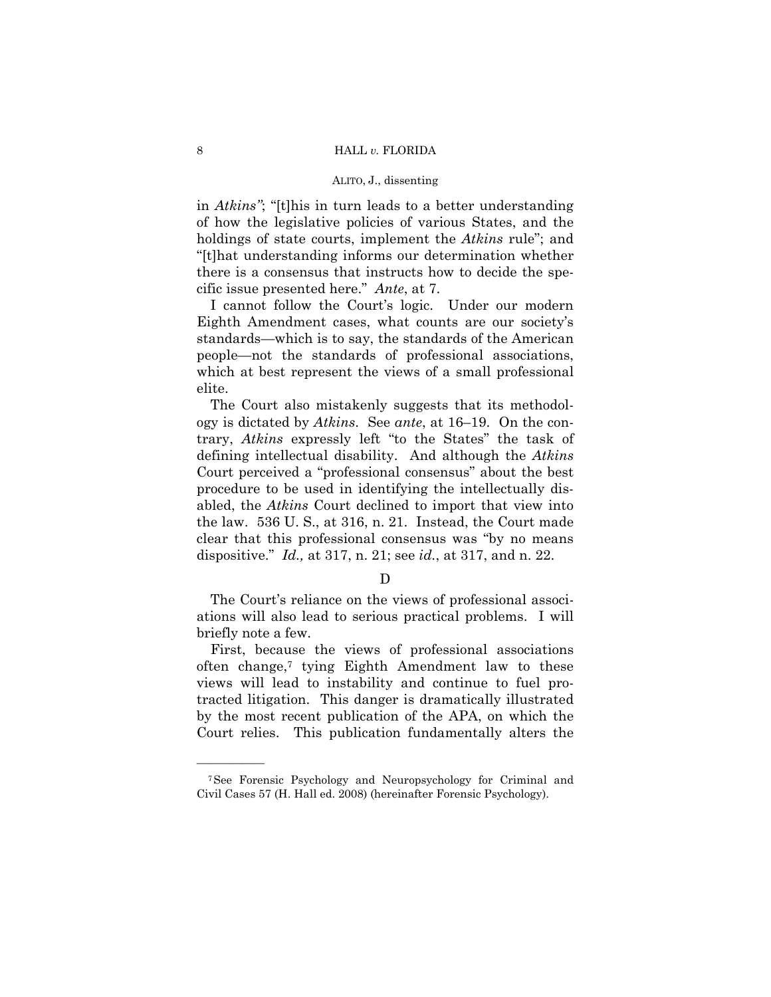in *Atkins"*; "[t]his in turn leads to a better understanding of how the legislative policies of various States, and the holdings of state courts, implement the *Atkins* rule"; and "[t]hat understanding informs our determination whether there is a consensus that instructs how to decide the specific issue presented here." *Ante*, at 7.

I cannot follow the Court's logic. Under our modern Eighth Amendment cases, what counts are our society's standards—which is to say, the standards of the American people—not the standards of professional associations, which at best represent the views of a small professional elite.

The Court also mistakenly suggests that its methodology is dictated by *Atkins*. See *ante*, at 16–19. On the contrary, *Atkins* expressly left "to the States" the task of defining intellectual disability. And although the *Atkins*  Court perceived a "professional consensus" about the best procedure to be used in identifying the intellectually disabled, the *Atkins* Court declined to import that view into the law. 536 U. S., at 316, n. 21. Instead, the Court made clear that this professional consensus was "by no means dispositive." *Id.,* at 317, n. 21; see *id.*, at 317, and n. 22.

D

The Court's reliance on the views of professional associations will also lead to serious practical problems. I will briefly note a few.

First, because the views of professional associations often change,7 tying Eighth Amendment law to these views will lead to instability and continue to fuel protracted litigation. This danger is dramatically illustrated by the most recent publication of the APA, on which the Court relies. This publication fundamentally alters the

<sup>7</sup>See Forensic Psychology and Neuropsychology for Criminal and Civil Cases 57 (H. Hall ed. 2008) (hereinafter Forensic Psychology).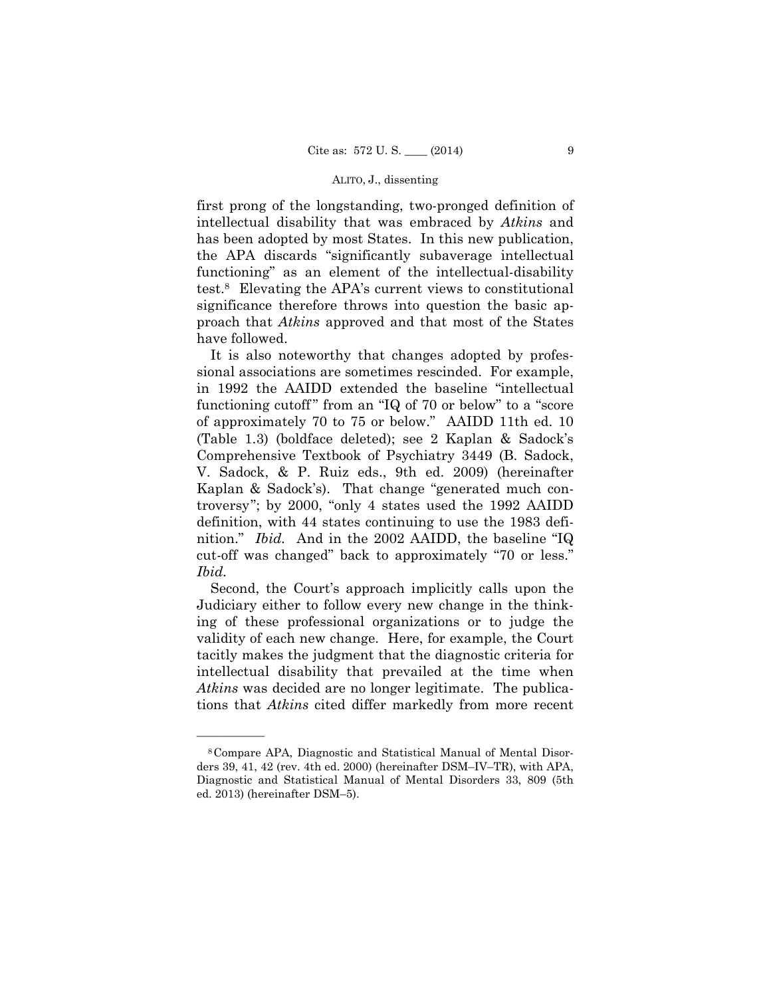first prong of the longstanding, two-pronged definition of intellectual disability that was embraced by *Atkins* and has been adopted by most States. In this new publication, the APA discards "significantly subaverage intellectual functioning" as an element of the intellectual-disability test.8 Elevating the APA's current views to constitutional significance therefore throws into question the basic approach that *Atkins* approved and that most of the States have followed.

It is also noteworthy that changes adopted by professional associations are sometimes rescinded. For example, in 1992 the AAIDD extended the baseline "intellectual functioning cutoff" from an "IQ of 70 or below" to a "score of approximately 70 to 75 or below." AAIDD 11th ed. 10 (Table 1.3) (boldface deleted); see 2 Kaplan & Sadock's Comprehensive Textbook of Psychiatry 3449 (B. Sadock, V. Sadock, & P. Ruiz eds., 9th ed. 2009) (hereinafter Kaplan & Sadock's). That change "generated much controversy"; by 2000, "only 4 states used the 1992 AAIDD definition, with 44 states continuing to use the 1983 definition." *Ibid.* And in the 2002 AAIDD, the baseline "IQ cut-off was changed" back to approximately "70 or less." *Ibid.* 

Second, the Court's approach implicitly calls upon the Judiciary either to follow every new change in the thinking of these professional organizations or to judge the validity of each new change. Here, for example, the Court tacitly makes the judgment that the diagnostic criteria for intellectual disability that prevailed at the time when *Atkins* was decided are no longer legitimate. The publications that *Atkins* cited differ markedly from more recent

<sup>8</sup>Compare APA, Diagnostic and Statistical Manual of Mental Disorders 39, 41, 42 (rev. 4th ed. 2000) (hereinafter DSM–IV–TR), with APA, Diagnostic and Statistical Manual of Mental Disorders 33, 809 (5th ed. 2013) (hereinafter DSM–5).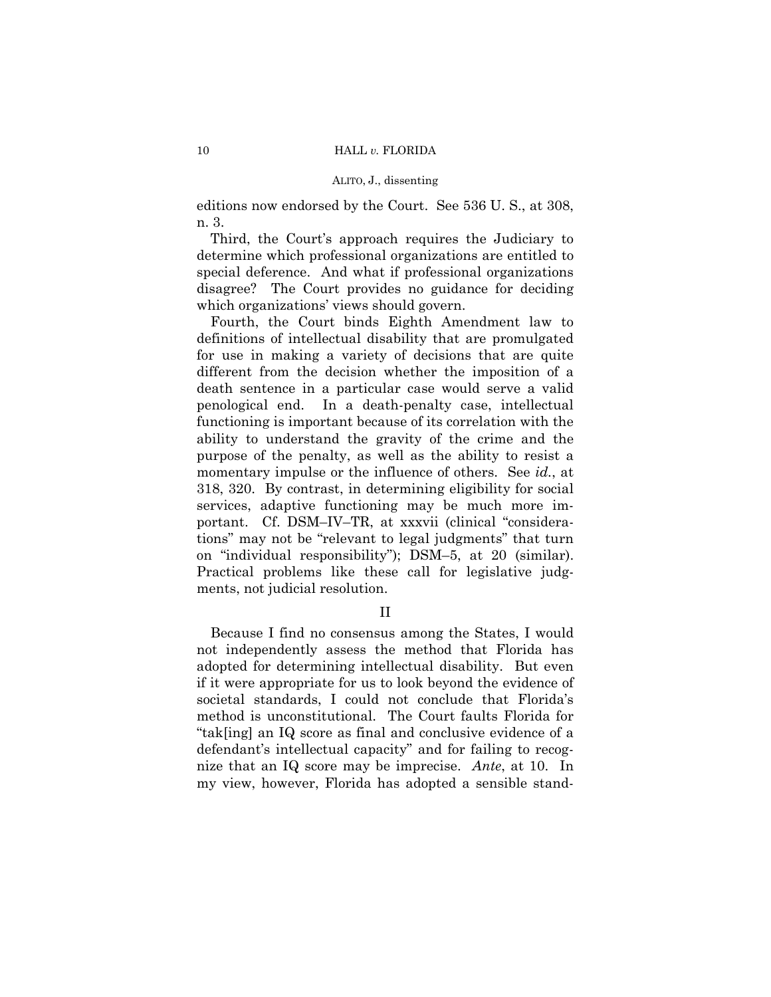editions now endorsed by the Court. See 536 U. S., at 308, n. 3.

Third, the Court's approach requires the Judiciary to determine which professional organizations are entitled to special deference. And what if professional organizations disagree? The Court provides no guidance for deciding which organizations' views should govern.

Fourth, the Court binds Eighth Amendment law to definitions of intellectual disability that are promulgated for use in making a variety of decisions that are quite different from the decision whether the imposition of a death sentence in a particular case would serve a valid penological end. In a death-penalty case, intellectual functioning is important because of its correlation with the ability to understand the gravity of the crime and the purpose of the penalty, as well as the ability to resist a momentary impulse or the influence of others. See *id.*, at 318, 320. By contrast, in determining eligibility for social services, adaptive functioning may be much more important. Cf. DSM–IV–TR, at xxxvii (clinical "considerations" may not be "relevant to legal judgments" that turn on "individual responsibility"); DSM–5, at 20 (similar). Practical problems like these call for legislative judgments, not judicial resolution.

II

Because I find no consensus among the States, I would not independently assess the method that Florida has adopted for determining intellectual disability. But even if it were appropriate for us to look beyond the evidence of societal standards, I could not conclude that Florida's method is unconstitutional. The Court faults Florida for "tak[ing] an IQ score as final and conclusive evidence of a defendant's intellectual capacity" and for failing to recognize that an IQ score may be imprecise. *Ante*, at 10. In my view, however, Florida has adopted a sensible stand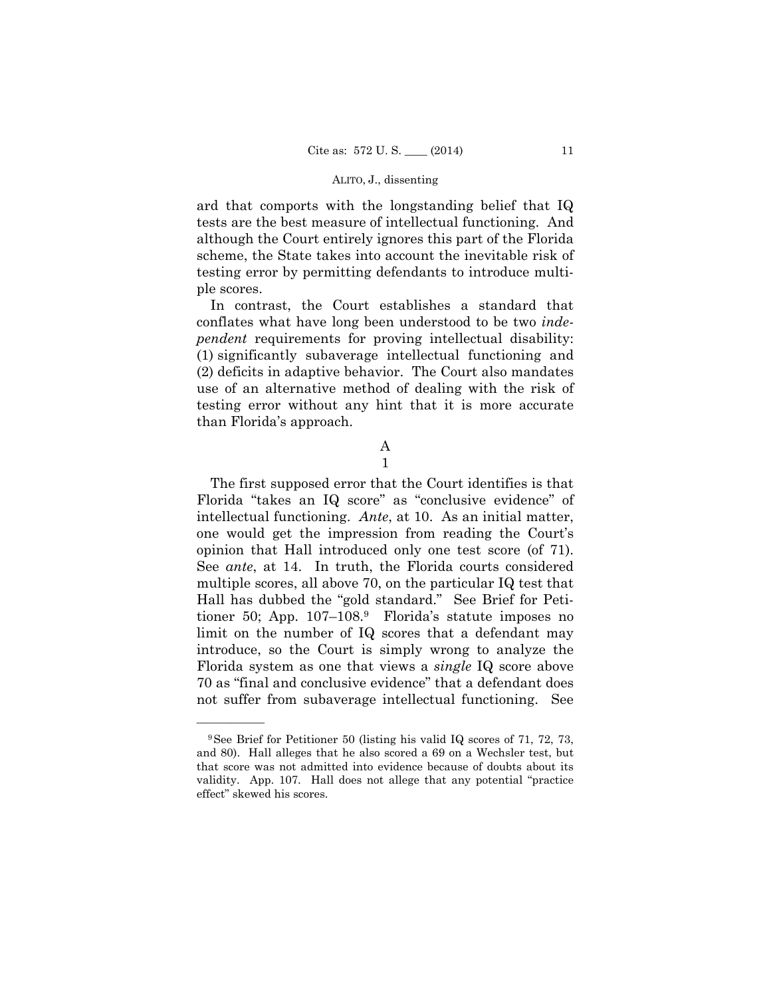ard that comports with the longstanding belief that IQ tests are the best measure of intellectual functioning. And although the Court entirely ignores this part of the Florida scheme, the State takes into account the inevitable risk of testing error by permitting defendants to introduce multiple scores.

In contrast, the Court establishes a standard that conflates what have long been understood to be two *independent* requirements for proving intellectual disability: (1) significantly subaverage intellectual functioning and (2) deficits in adaptive behavior. The Court also mandates use of an alternative method of dealing with the risk of testing error without any hint that it is more accurate than Florida's approach.

# A

1

The first supposed error that the Court identifies is that Florida "takes an IQ score" as "conclusive evidence" of intellectual functioning. *Ante*, at 10. As an initial matter, one would get the impression from reading the Court's opinion that Hall introduced only one test score (of 71). See *ante*, at 14. In truth, the Florida courts considered multiple scores, all above 70, on the particular IQ test that Hall has dubbed the "gold standard." See Brief for Petitioner 50; App. 107–108.9 Florida's statute imposes no limit on the number of IQ scores that a defendant may introduce, so the Court is simply wrong to analyze the Florida system as one that views a *single* IQ score above 70 as "final and conclusive evidence" that a defendant does not suffer from subaverage intellectual functioning. See

 validity. App. 107. Hall does not allege that any potential "practice 9See Brief for Petitioner 50 (listing his valid IQ scores of 71, 72, 73, and 80). Hall alleges that he also scored a 69 on a Wechsler test, but that score was not admitted into evidence because of doubts about its effect" skewed his scores.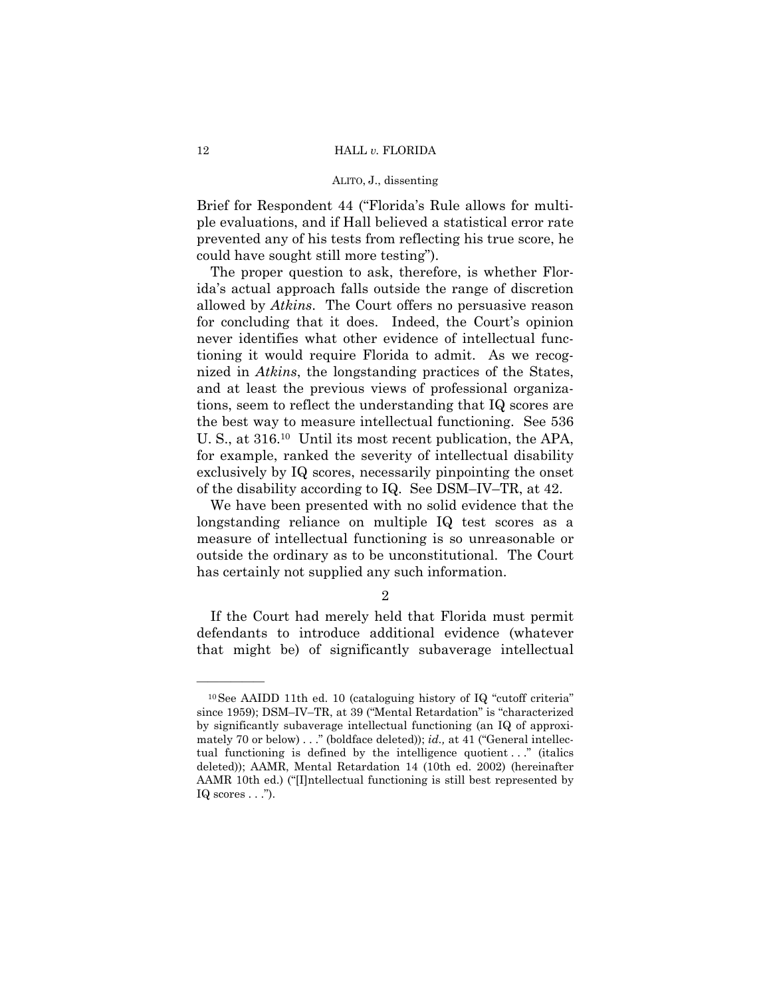Brief for Respondent 44 ("Florida's Rule allows for multiple evaluations, and if Hall believed a statistical error rate prevented any of his tests from reflecting his true score, he could have sought still more testing").

The proper question to ask, therefore, is whether Florida's actual approach falls outside the range of discretion allowed by *Atkins*. The Court offers no persuasive reason for concluding that it does. Indeed, the Court's opinion never identifies what other evidence of intellectual functioning it would require Florida to admit. As we recognized in *Atkins*, the longstanding practices of the States, and at least the previous views of professional organizations, seem to reflect the understanding that IQ scores are the best way to measure intellectual functioning. See 536 U. S., at 316.10 Until its most recent publication, the APA, for example, ranked the severity of intellectual disability exclusively by IQ scores, necessarily pinpointing the onset of the disability according to IQ. See DSM–IV–TR, at 42.

We have been presented with no solid evidence that the longstanding reliance on multiple IQ test scores as a measure of intellectual functioning is so unreasonable or outside the ordinary as to be unconstitutional. The Court has certainly not supplied any such information.

## 2

If the Court had merely held that Florida must permit defendants to introduce additional evidence (whatever that might be) of significantly subaverage intellectual

<sup>10</sup>See AAIDD 11th ed. 10 (cataloguing history of IQ "cutoff criteria" since 1959); DSM–IV–TR, at 39 ("Mental Retardation" is "characterized by significantly subaverage intellectual functioning (an IQ of approximately 70 or below) . . ." (boldface deleted)); *id.,* at 41 ("General intellectual functioning is defined by the intelligence quotient . . ." (italics deleted)); AAMR, Mental Retardation 14 (10th ed. 2002) (hereinafter AAMR 10th ed.) ("[I]ntellectual functioning is still best represented by IQ scores  $\ldots$ ").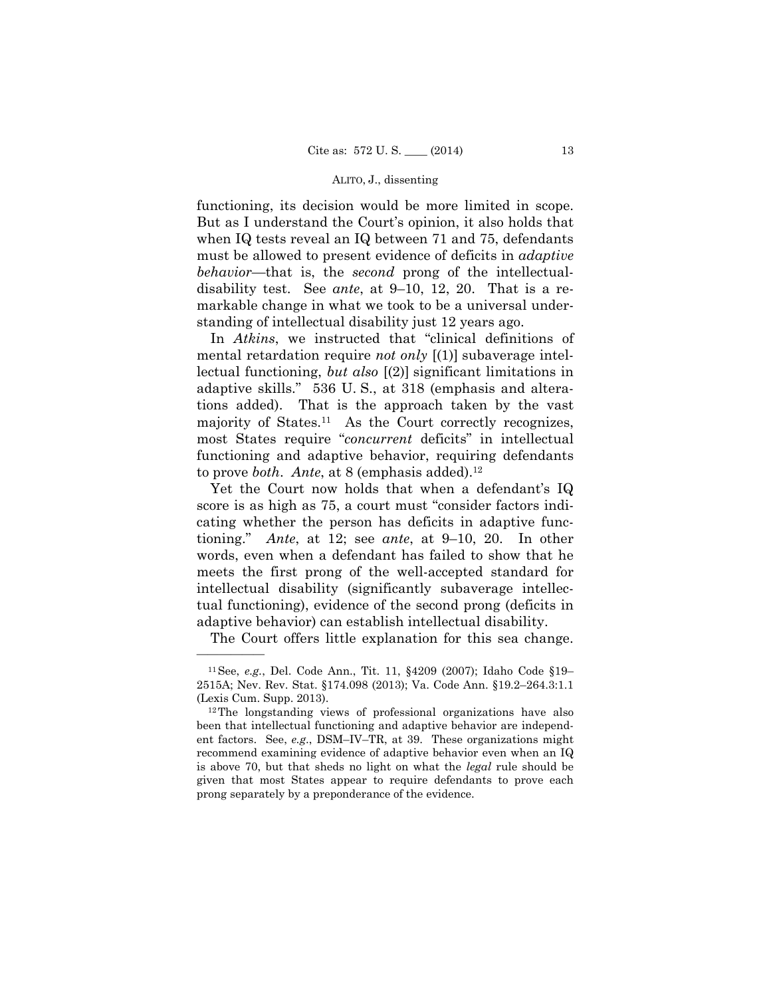disability test. See *ante*, at 9–10, 12, 20. That is a refunctioning, its decision would be more limited in scope. But as I understand the Court's opinion, it also holds that when IQ tests reveal an IQ between 71 and 75, defendants must be allowed to present evidence of deficits in *adaptive behavior*—that is, the *second* prong of the intellectualmarkable change in what we took to be a universal understanding of intellectual disability just 12 years ago.

In *Atkins*, we instructed that "clinical definitions of mental retardation require *not only* [(1)] subaverage intellectual functioning, *but also* [(2)] significant limitations in adaptive skills." 536 U. S., at 318 (emphasis and alterations added). That is the approach taken by the vast majority of States.<sup>11</sup> As the Court correctly recognizes, most States require "*concurrent* deficits" in intellectual functioning and adaptive behavior, requiring defendants to prove *both. Ante*, at 8 (emphasis added).<sup>12</sup>

cating whether the person has deficits in adaptive func Yet the Court now holds that when a defendant's IQ score is as high as 75, a court must "consider factors inditioning." *Ante*, at 12; see *ante*, at 9–10, 20. In other words, even when a defendant has failed to show that he meets the first prong of the well-accepted standard for intellectual disability (significantly subaverage intellectual functioning), evidence of the second prong (deficits in adaptive behavior) can establish intellectual disability.

The Court offers little explanation for this sea change.

<sup>11</sup>See, *e.g.*, Del. Code Ann., Tit. 11, §4209 (2007); Idaho Code §19– 2515A; Nev. Rev. Stat. §174.098 (2013); Va. Code Ann. §19.2–264.3:1.1 (Lexis Cum. Supp. 2013).  $12$ The longstanding views of professional organizations have also

been that intellectual functioning and adaptive behavior are independent factors. See, *e.g*., DSM–IV–TR, at 39. These organizations might recommend examining evidence of adaptive behavior even when an IQ is above 70, but that sheds no light on what the *legal* rule should be given that most States appear to require defendants to prove each prong separately by a preponderance of the evidence.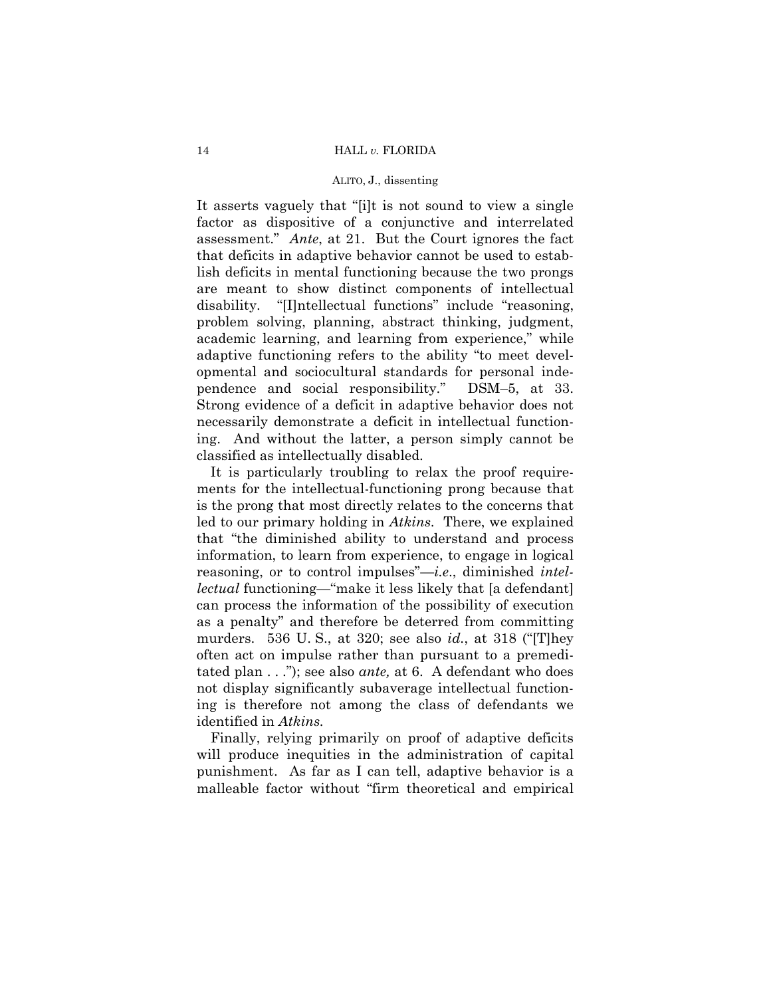assessment." *Ante*, at 21. But the Court ignores the fact It asserts vaguely that "[i]t is not sound to view a single factor as dispositive of a conjunctive and interrelated that deficits in adaptive behavior cannot be used to establish deficits in mental functioning because the two prongs are meant to show distinct components of intellectual disability. "[I]ntellectual functions" include "reasoning, problem solving, planning, abstract thinking, judgment, academic learning, and learning from experience," while adaptive functioning refers to the ability "to meet developmental and sociocultural standards for personal independence and social responsibility." DSM–5, at 33. Strong evidence of a deficit in adaptive behavior does not necessarily demonstrate a deficit in intellectual functioning. And without the latter, a person simply cannot be classified as intellectually disabled.

It is particularly troubling to relax the proof requirements for the intellectual-functioning prong because that is the prong that most directly relates to the concerns that led to our primary holding in *Atkins*. There, we explained that "the diminished ability to understand and process information, to learn from experience, to engage in logical reasoning, or to control impulses"—*i.e*., diminished *intellectual* functioning—"make it less likely that [a defendant] can process the information of the possibility of execution as a penalty" and therefore be deterred from committing murders. 536 U. S., at 320; see also *id.*, at 318 ("[T]hey often act on impulse rather than pursuant to a premeditated plan . . ."); see also *ante,* at 6. A defendant who does not display significantly subaverage intellectual functioning is therefore not among the class of defendants we identified in *Atkins.* 

Finally, relying primarily on proof of adaptive deficits will produce inequities in the administration of capital punishment. As far as I can tell, adaptive behavior is a malleable factor without "firm theoretical and empirical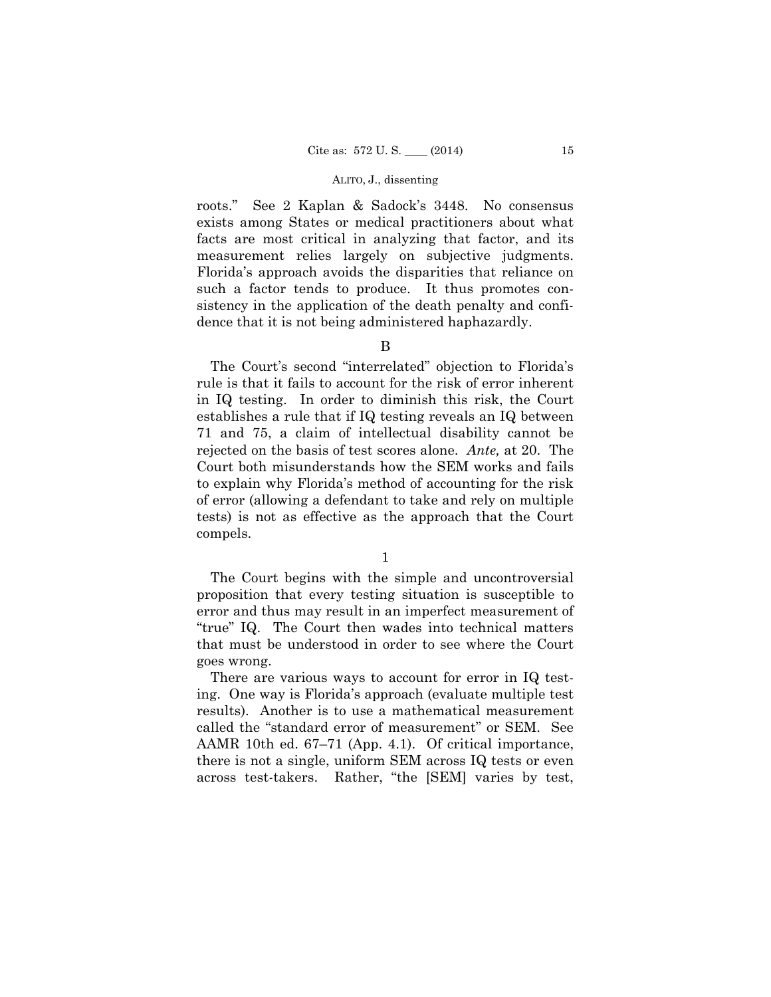roots." See 2 Kaplan & Sadock's 3448. No consensus exists among States or medical practitioners about what facts are most critical in analyzing that factor, and its measurement relies largely on subjective judgments. Florida's approach avoids the disparities that reliance on such a factor tends to produce. It thus promotes consistency in the application of the death penalty and confidence that it is not being administered haphazardly.

B

 rejected on the basis of test scores alone. *Ante,* at 20. The The Court's second "interrelated" objection to Florida's rule is that it fails to account for the risk of error inherent in IQ testing. In order to diminish this risk, the Court establishes a rule that if IQ testing reveals an IQ between 71 and 75, a claim of intellectual disability cannot be Court both misunderstands how the SEM works and fails to explain why Florida's method of accounting for the risk of error (allowing a defendant to take and rely on multiple tests) is not as effective as the approach that the Court compels.

1

The Court begins with the simple and uncontroversial proposition that every testing situation is susceptible to error and thus may result in an imperfect measurement of "true" IQ. The Court then wades into technical matters that must be understood in order to see where the Court goes wrong.

There are various ways to account for error in IQ testing. One way is Florida's approach (evaluate multiple test results). Another is to use a mathematical measurement called the "standard error of measurement" or SEM. See AAMR 10th ed. 67–71 (App. 4.1). Of critical importance, there is not a single, uniform SEM across IQ tests or even across test-takers. Rather, "the [SEM] varies by test,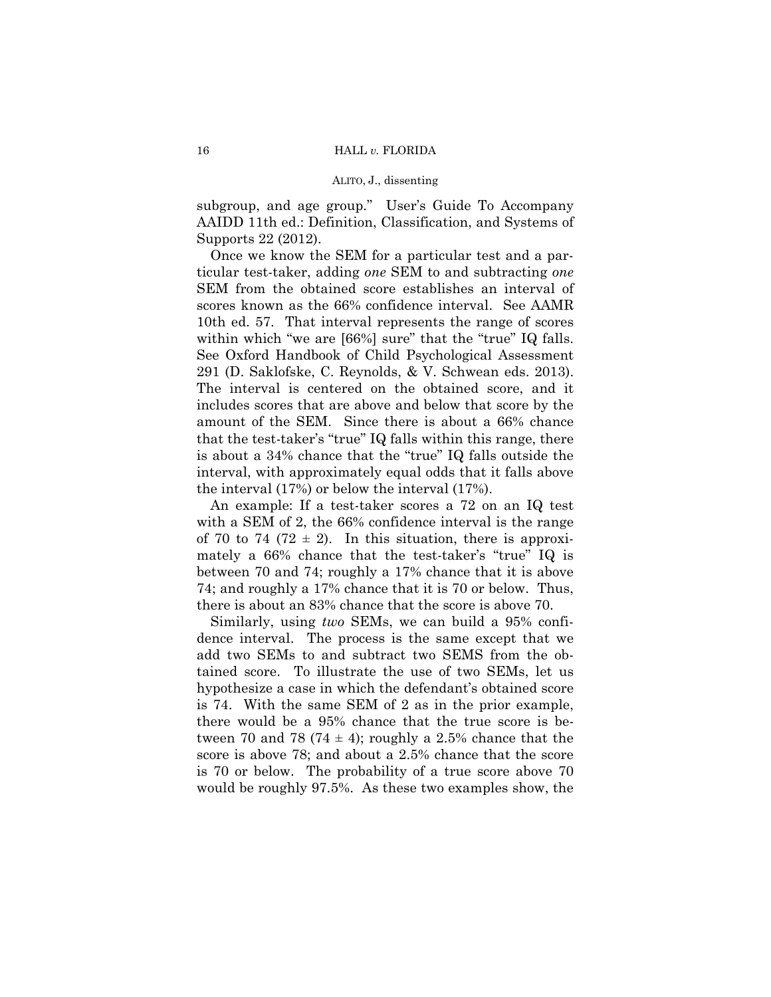subgroup, and age group." User's Guide To Accompany AAIDD 11th ed.: Definition, Classification, and Systems of Supports 22 (2012).

 291 (D. Saklofske, C. Reynolds, & V. Schwean eds. 2013). amount of the SEM. Since there is about a 66% chance Once we know the SEM for a particular test and a particular test-taker, adding *one* SEM to and subtracting *one*  SEM from the obtained score establishes an interval of scores known as the 66% confidence interval. See AAMR 10th ed. 57. That interval represents the range of scores within which "we are [66%] sure" that the "true" IQ falls. See Oxford Handbook of Child Psychological Assessment The interval is centered on the obtained score, and it includes scores that are above and below that score by the that the test-taker's "true" IQ falls within this range, there is about a 34% chance that the "true" IQ falls outside the interval, with approximately equal odds that it falls above the interval (17%) or below the interval (17%).

An example: If a test-taker scores a 72 on an IQ test with a SEM of 2, the 66% confidence interval is the range of 70 to 74 (72  $\pm$  2). In this situation, there is approximately a 66% chance that the test-taker's "true" IQ is between 70 and 74; roughly a 17% chance that it is above 74; and roughly a 17% chance that it is 70 or below. Thus, there is about an 83% chance that the score is above 70.

 Similarly, using *two* SEMs, we can build a 95% confidence interval. The process is the same except that we add two SEMs to and subtract two SEMS from the obtained score. To illustrate the use of two SEMs, let us hypothesize a case in which the defendant's obtained score is 74. With the same SEM of 2 as in the prior example, there would be a 95% chance that the true score is between 70 and 78 (74  $\pm$  4); roughly a 2.5% chance that the score is above 78; and about a 2.5% chance that the score is 70 or below. The probability of a true score above 70 would be roughly 97.5%. As these two examples show, the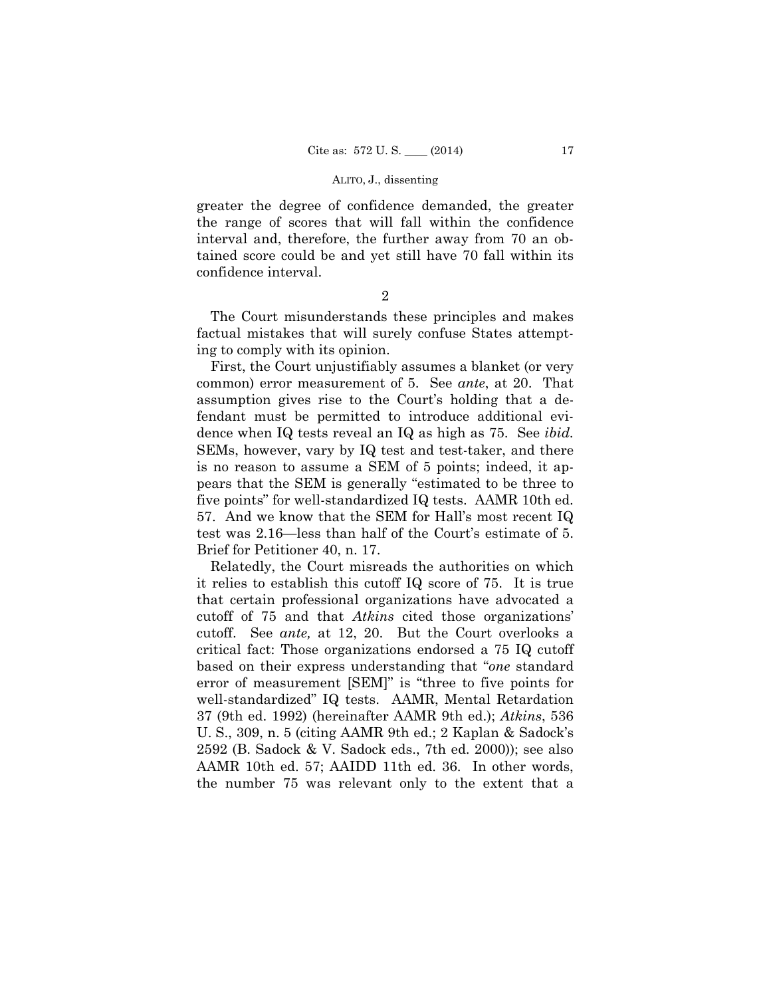greater the degree of confidence demanded, the greater the range of scores that will fall within the confidence interval and, therefore, the further away from 70 an obtained score could be and yet still have 70 fall within its confidence interval.

The Court misunderstands these principles and makes factual mistakes that will surely confuse States attempting to comply with its opinion.

 test was 2.16—less than half of the Court's estimate of 5. First, the Court unjustifiably assumes a blanket (or very common) error measurement of 5. See *ante*, at 20. That assumption gives rise to the Court's holding that a defendant must be permitted to introduce additional evidence when IQ tests reveal an IQ as high as 75. See *ibid.* SEMs, however, vary by IQ test and test-taker, and there is no reason to assume a SEM of 5 points; indeed, it appears that the SEM is generally "estimated to be three to five points" for well-standardized IQ tests. AAMR 10th ed. 57. And we know that the SEM for Hall's most recent IQ Brief for Petitioner 40, n. 17.

Relatedly, the Court misreads the authorities on which it relies to establish this cutoff IQ score of 75. It is true that certain professional organizations have advocated a cutoff of 75 and that *Atkins* cited those organizations' cutoff. See *ante,* at 12, 20. But the Court overlooks a critical fact: Those organizations endorsed a 75 IQ cutoff based on their express understanding that "*one* standard error of measurement [SEM]" is "three to five points for well-standardized" IQ tests. AAMR, Mental Retardation 37 (9th ed. 1992) (hereinafter AAMR 9th ed.); *Atkins*, 536 U. S., 309, n. 5 (citing AAMR 9th ed.; 2 Kaplan & Sadock's 2592 (B. Sadock & V. Sadock eds., 7th ed. 2000)); see also AAMR 10th ed. 57; AAIDD 11th ed. 36. In other words, the number 75 was relevant only to the extent that a

<sup>2</sup>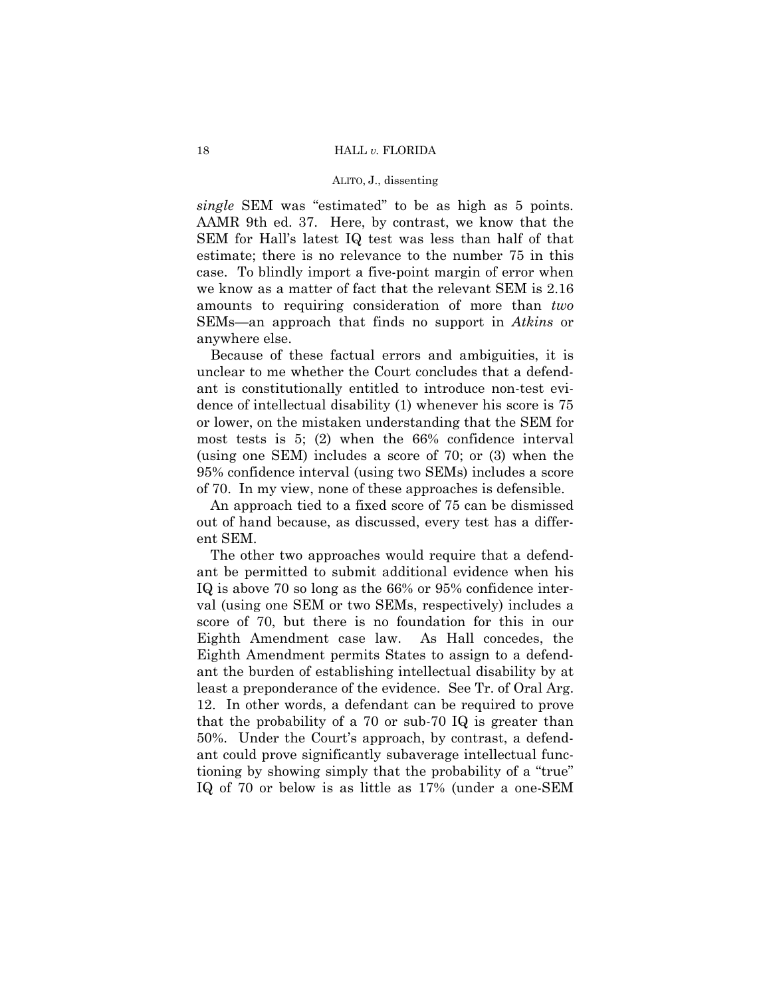*single* SEM was "estimated" to be as high as 5 points. AAMR 9th ed. 37. Here, by contrast, we know that the SEM for Hall's latest IQ test was less than half of that estimate; there is no relevance to the number 75 in this case. To blindly import a five-point margin of error when we know as a matter of fact that the relevant SEM is 2.16 amounts to requiring consideration of more than *two*  SEMs—an approach that finds no support in *Atkins* or anywhere else.

Because of these factual errors and ambiguities, it is unclear to me whether the Court concludes that a defendant is constitutionally entitled to introduce non-test evidence of intellectual disability (1) whenever his score is 75 or lower, on the mistaken understanding that the SEM for most tests is 5; (2) when the 66% confidence interval (using one SEM) includes a score of 70; or (3) when the 95% confidence interval (using two SEMs) includes a score of 70. In my view, none of these approaches is defensible.

An approach tied to a fixed score of 75 can be dismissed out of hand because, as discussed, every test has a different SEM.

The other two approaches would require that a defendant be permitted to submit additional evidence when his IQ is above 70 so long as the 66% or 95% confidence interval (using one SEM or two SEMs, respectively) includes a score of 70, but there is no foundation for this in our Eighth Amendment case law. As Hall concedes, the Eighth Amendment permits States to assign to a defendant the burden of establishing intellectual disability by at least a preponderance of the evidence. See Tr. of Oral Arg. 12. In other words, a defendant can be required to prove that the probability of a 70 or sub-70 IQ is greater than 50%. Under the Court's approach, by contrast, a defendant could prove significantly subaverage intellectual functioning by showing simply that the probability of a "true" IQ of 70 or below is as little as 17% (under a one-SEM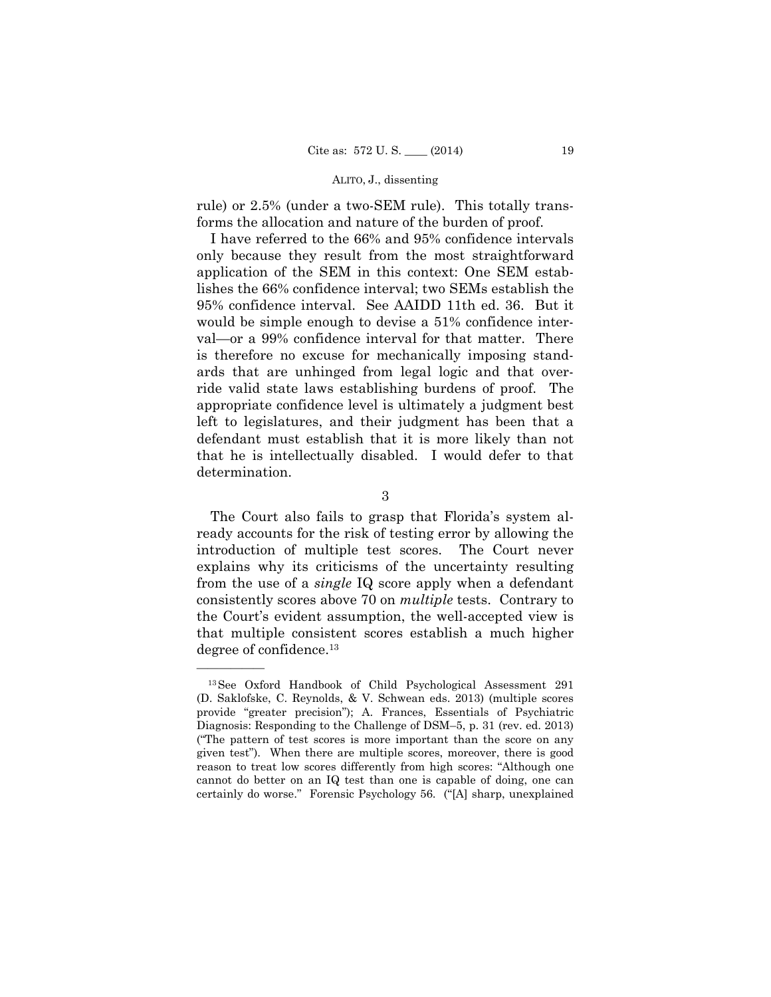rule) or 2.5% (under a two-SEM rule). This totally transforms the allocation and nature of the burden of proof.

I have referred to the 66% and 95% confidence intervals only because they result from the most straightforward application of the SEM in this context: One SEM establishes the 66% confidence interval; two SEMs establish the 95% confidence interval. See AAIDD 11th ed. 36. But it would be simple enough to devise a 51% confidence interval—or a 99% confidence interval for that matter. There is therefore no excuse for mechanically imposing standards that are unhinged from legal logic and that override valid state laws establishing burdens of proof. The appropriate confidence level is ultimately a judgment best left to legislatures, and their judgment has been that a defendant must establish that it is more likely than not that he is intellectually disabled. I would defer to that determination.

3

 consistently scores above 70 on *multiple* tests. Contrary to The Court also fails to grasp that Florida's system already accounts for the risk of testing error by allowing the introduction of multiple test scores. The Court never explains why its criticisms of the uncertainty resulting from the use of a *single* IQ score apply when a defendant the Court's evident assumption, the well-accepted view is that multiple consistent scores establish a much higher degree of confidence.13

<sup>13</sup>See Oxford Handbook of Child Psychological Assessment 291 (D. Saklofske, C. Reynolds, & V. Schwean eds. 2013) (multiple scores provide "greater precision"); A. Frances, Essentials of Psychiatric Diagnosis: Responding to the Challenge of DSM–5, p. 31 (rev. ed. 2013) ("The pattern of test scores is more important than the score on any given test"). When there are multiple scores, moreover, there is good reason to treat low scores differently from high scores: "Although one cannot do better on an IQ test than one is capable of doing, one can certainly do worse." Forensic Psychology 56. ("[A] sharp, unexplained